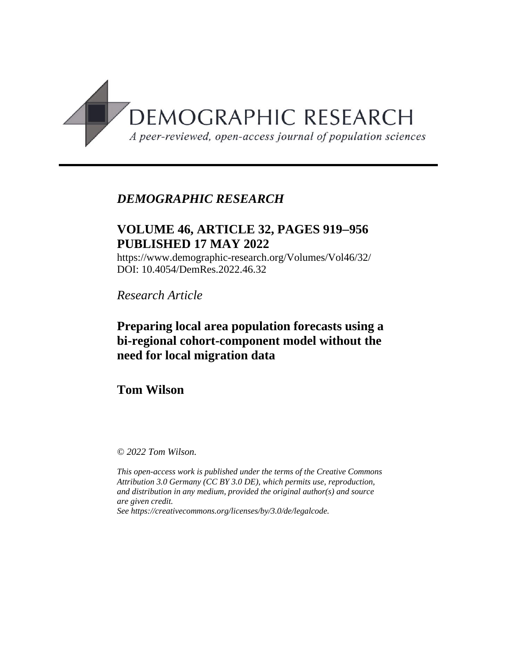

## *DEMOGRAPHIC RESEARCH*

# **VOLUME 46, ARTICLE 32, PAGES 919956 PUBLISHED 17 MAY 2022**

https://www.demographic-research.org/Volumes/Vol46/32/ DOI: 10.4054/DemRes.2022.46.32

*Research Article*

# **Preparing local area population forecasts using a bi-regional cohort-component model without the need for local migration data**

**Tom Wilson**

*© 2022 Tom Wilson.*

*This open-access work is published under the terms of the Creative Commons Attribution 3.0 Germany (CC BY 3.0 DE), which permits use, reproduction, and distribution in any medium, provided the original author(s) and source are given credit.*

*See [https://creativecommons.org/licenses/by/3.0/de/legalcode.](https://creativecommons.org/licenses/by/3.0/de/legalcode)*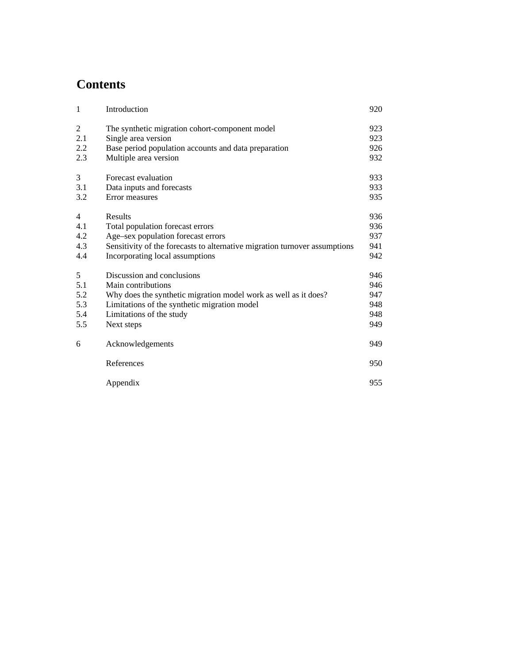# **Contents**

| $\mathbf{1}$   | Introduction                                                               | 920        |
|----------------|----------------------------------------------------------------------------|------------|
| 2<br>2.1       | The synthetic migration cohort-component model<br>Single area version      | 923<br>923 |
| 2.2            | Base period population accounts and data preparation                       | 926        |
| 2.3            | Multiple area version                                                      | 932        |
| 3              | Forecast evaluation                                                        | 933        |
| 3.1            | Data inputs and forecasts                                                  | 933        |
| 3.2            | Error measures                                                             | 935        |
| $\overline{4}$ | Results                                                                    | 936        |
| 4.1            | Total population forecast errors                                           | 936        |
| 4.2            | Age-sex population forecast errors                                         | 937        |
| 4.3            | Sensitivity of the forecasts to alternative migration turnover assumptions | 941        |
| 4.4            | Incorporating local assumptions                                            | 942        |
| 5              | Discussion and conclusions                                                 | 946        |
| 5.1            | Main contributions                                                         | 946        |
| 5.2            | Why does the synthetic migration model work as well as it does?            | 947        |
| 5.3            | Limitations of the synthetic migration model                               | 948        |
| 5.4            | Limitations of the study                                                   | 948        |
| 5.5            | Next steps                                                                 | 949        |
| 6              | Acknowledgements                                                           | 949        |
|                | References                                                                 | 950        |
|                | Appendix                                                                   | 955        |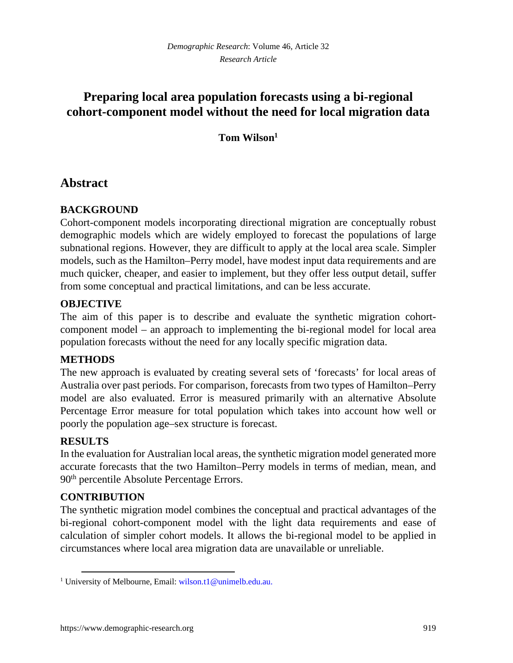# **Preparing local area population forecasts using a bi-regional cohort-component model without the need for local migration data**

## **Tom Wilson[1](#page-2-0)**

## **Abstract**

## **BACKGROUND**

Cohort-component models incorporating directional migration are conceptually robust demographic models which are widely employed to forecast the populations of large subnational regions. However, they are difficult to apply at the local area scale. Simpler models, such as the Hamilton–Perry model, have modest input data requirements and are much quicker, cheaper, and easier to implement, but they offer less output detail, suffer from some conceptual and practical limitations, and can be less accurate.

## **OBJECTIVE**

The aim of this paper is to describe and evaluate the synthetic migration cohortcomponent model – an approach to implementing the bi-regional model for local area population forecasts without the need for any locally specific migration data.

## **METHODS**

The new approach is evaluated by creating several sets of 'forecasts' for local areas of Australia over past periods. For comparison, forecasts from two types of Hamilton–Perry model are also evaluated. Error is measured primarily with an alternative Absolute Percentage Error measure for total population which takes into account how well or poorly the population age–sex structure is forecast.

## **RESULTS**

In the evaluation for Australian local areas, the synthetic migration model generated more accurate forecasts that the two Hamilton–Perry models in terms of median, mean, and 90<sup>th</sup> percentile Absolute Percentage Errors.

## **CONTRIBUTION**

The synthetic migration model combines the conceptual and practical advantages of the bi-regional cohort-component model with the light data requirements and ease of calculation of simpler cohort models. It allows the bi-regional model to be applied in circumstances where local area migration data are unavailable or unreliable.

<span id="page-2-0"></span><sup>&</sup>lt;sup>1</sup> University of Melbourne, Email: [wilson.t1@unimelb.edu.au](mailto:wilson.t1@unimelb.edu.au).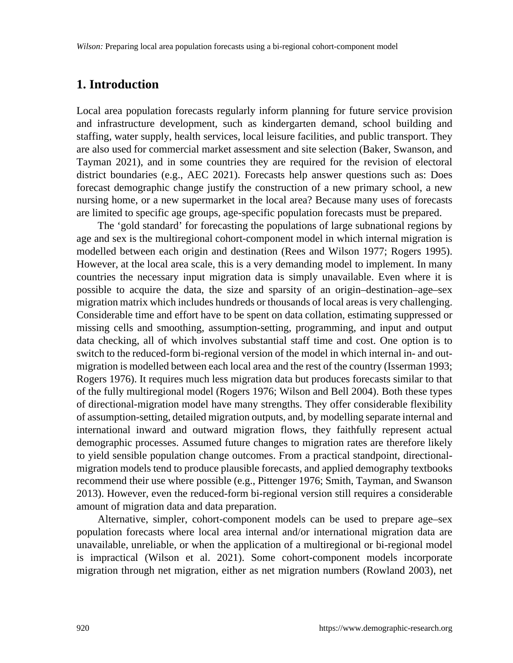## **1. Introduction**

Local area population forecasts regularly inform planning for future service provision and infrastructure development, such as kindergarten demand, school building and staffing, water supply, health services, local leisure facilities, and public transport. They are also used for commercial market assessment and site selection (Baker, Swanson, and Tayman 2021), and in some countries they are required for the revision of electoral district boundaries (e.g., AEC 2021). Forecasts help answer questions such as: Does forecast demographic change justify the construction of a new primary school, a new nursing home, or a new supermarket in the local area? Because many uses of forecasts are limited to specific age groups, age-specific population forecasts must be prepared.

The 'gold standard' for forecasting the populations of large subnational regions by age and sex is the multiregional cohort-component model in which internal migration is modelled between each origin and destination (Rees and Wilson 1977; Rogers 1995). However, at the local area scale, this is a very demanding model to implement. In many countries the necessary input migration data is simply unavailable. Even where it is possible to acquire the data, the size and sparsity of an origin–destination–age–sex migration matrix which includes hundreds or thousands of local areas is very challenging. Considerable time and effort have to be spent on data collation, estimating suppressed or missing cells and smoothing, assumption-setting, programming, and input and output data checking, all of which involves substantial staff time and cost. One option is to switch to the reduced-form bi-regional version of the model in which internal in- and outmigration is modelled between each local area and the rest of the country (Isserman 1993; Rogers 1976). It requires much less migration data but produces forecasts similar to that of the fully multiregional model (Rogers 1976; Wilson and Bell 2004). Both these types of directional-migration model have many strengths. They offer considerable flexibility of assumption-setting, detailed migration outputs, and, by modelling separate internal and international inward and outward migration flows, they faithfully represent actual demographic processes. Assumed future changes to migration rates are therefore likely to yield sensible population change outcomes. From a practical standpoint, directionalmigration models tend to produce plausible forecasts, and applied demography textbooks recommend their use where possible (e.g., Pittenger 1976; Smith, Tayman, and Swanson 2013). However, even the reduced-form bi-regional version still requires a considerable amount of migration data and data preparation.

Alternative, simpler, cohort-component models can be used to prepare age–sex population forecasts where local area internal and/or international migration data are unavailable, unreliable, or when the application of a multiregional or bi-regional model is impractical (Wilson et al. 2021). Some cohort-component models incorporate migration through net migration, either as net migration numbers (Rowland 2003), net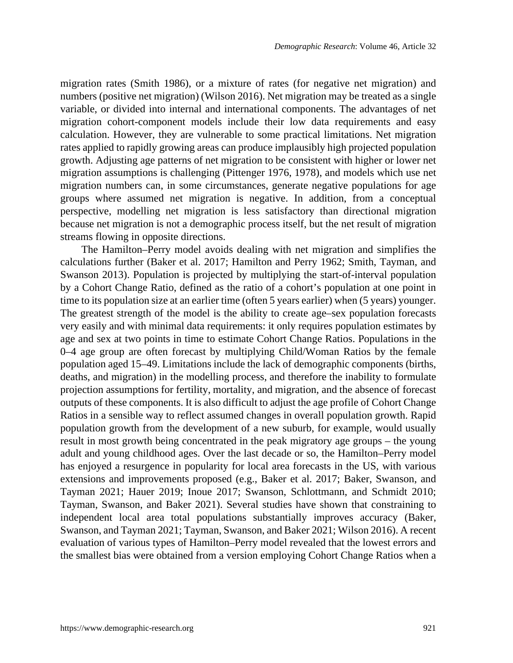migration rates (Smith 1986), or a mixture of rates (for negative net migration) and numbers (positive net migration) (Wilson 2016). Net migration may be treated as a single variable, or divided into internal and international components. The advantages of net migration cohort-component models include their low data requirements and easy calculation. However, they are vulnerable to some practical limitations. Net migration rates applied to rapidly growing areas can produce implausibly high projected population growth. Adjusting age patterns of net migration to be consistent with higher or lower net migration assumptions is challenging (Pittenger 1976, 1978), and models which use net migration numbers can, in some circumstances, generate negative populations for age groups where assumed net migration is negative. In addition, from a conceptual perspective, modelling net migration is less satisfactory than directional migration because net migration is not a demographic process itself, but the net result of migration streams flowing in opposite directions.

The Hamilton–Perry model avoids dealing with net migration and simplifies the calculations further (Baker et al. 2017; Hamilton and Perry 1962; Smith, Tayman, and Swanson 2013). Population is projected by multiplying the start-of-interval population by a Cohort Change Ratio, defined as the ratio of a cohort's population at one point in time to its population size at an earlier time (often 5 years earlier) when (5 years) younger. The greatest strength of the model is the ability to create age–sex population forecasts very easily and with minimal data requirements: it only requires population estimates by age and sex at two points in time to estimate Cohort Change Ratios. Populations in the 0–4 age group are often forecast by multiplying Child/Woman Ratios by the female population aged 15–49. Limitations include the lack of demographic components (births, deaths, and migration) in the modelling process, and therefore the inability to formulate projection assumptions for fertility, mortality, and migration, and the absence of forecast outputs of these components. It is also difficult to adjust the age profile of Cohort Change Ratios in a sensible way to reflect assumed changes in overall population growth. Rapid population growth from the development of a new suburb, for example, would usually result in most growth being concentrated in the peak migratory age groups – the young adult and young childhood ages. Over the last decade or so, the Hamilton–Perry model has enjoyed a resurgence in popularity for local area forecasts in the US, with various extensions and improvements proposed (e.g., Baker et al. 2017; Baker, Swanson, and Tayman 2021; Hauer 2019; Inoue 2017; Swanson, Schlottmann, and Schmidt 2010; Tayman, Swanson, and Baker 2021). Several studies have shown that constraining to independent local area total populations substantially improves accuracy (Baker, Swanson, and Tayman 2021; Tayman, Swanson, and Baker 2021; Wilson 2016). A recent evaluation of various types of Hamilton–Perry model revealed that the lowest errors and the smallest bias were obtained from a version employing Cohort Change Ratios when a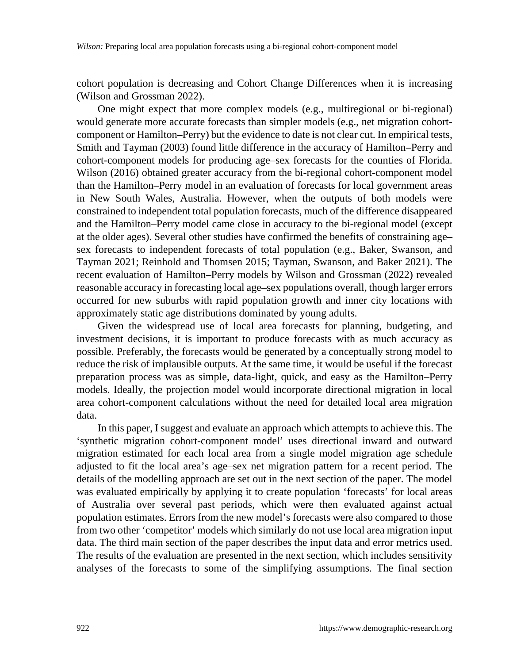cohort population is decreasing and Cohort Change Differences when it is increasing (Wilson and Grossman 2022).

One might expect that more complex models (e.g., multiregional or bi-regional) would generate more accurate forecasts than simpler models (e.g., net migration cohortcomponent or Hamilton–Perry) but the evidence to date is not clear cut. In empirical tests, Smith and Tayman (2003) found little difference in the accuracy of Hamilton–Perry and cohort-component models for producing age–sex forecasts for the counties of Florida. Wilson (2016) obtained greater accuracy from the bi-regional cohort-component model than the Hamilton–Perry model in an evaluation of forecasts for local government areas in New South Wales, Australia. However, when the outputs of both models were constrained to independent total population forecasts, much of the difference disappeared and the Hamilton–Perry model came close in accuracy to the bi-regional model (except at the older ages). Several other studies have confirmed the benefits of constraining age– sex forecasts to independent forecasts of total population (e.g., Baker, Swanson, and Tayman 2021; Reinhold and Thomsen 2015; Tayman, Swanson, and Baker 2021). The recent evaluation of Hamilton–Perry models by Wilson and Grossman (2022) revealed reasonable accuracy in forecasting local age–sex populations overall, though larger errors occurred for new suburbs with rapid population growth and inner city locations with approximately static age distributions dominated by young adults.

Given the widespread use of local area forecasts for planning, budgeting, and investment decisions, it is important to produce forecasts with as much accuracy as possible. Preferably, the forecasts would be generated by a conceptually strong model to reduce the risk of implausible outputs. At the same time, it would be useful if the forecast preparation process was as simple, data-light, quick, and easy as the Hamilton–Perry models. Ideally, the projection model would incorporate directional migration in local area cohort-component calculations without the need for detailed local area migration data.

In this paper, I suggest and evaluate an approach which attempts to achieve this. The 'synthetic migration cohort-component model' uses directional inward and outward migration estimated for each local area from a single model migration age schedule adjusted to fit the local area's age–sex net migration pattern for a recent period. The details of the modelling approach are set out in the next section of the paper. The model was evaluated empirically by applying it to create population 'forecasts' for local areas of Australia over several past periods, which were then evaluated against actual population estimates. Errors from the new model's forecasts were also compared to those from two other 'competitor' models which similarly do not use local area migration input data. The third main section of the paper describes the input data and error metrics used. The results of the evaluation are presented in the next section, which includes sensitivity analyses of the forecasts to some of the simplifying assumptions. The final section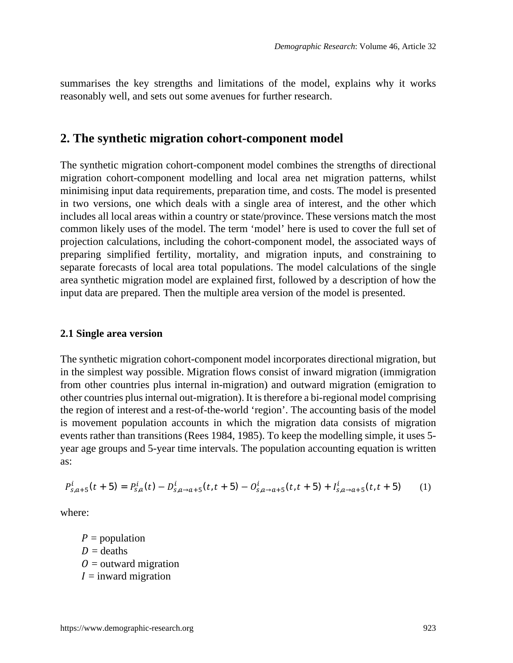summarises the key strengths and limitations of the model, explains why it works reasonably well, and sets out some avenues for further research.

## **2. The synthetic migration cohort-component model**

The synthetic migration cohort-component model combines the strengths of directional migration cohort-component modelling and local area net migration patterns, whilst minimising input data requirements, preparation time, and costs. The model is presented in two versions, one which deals with a single area of interest, and the other which includes all local areas within a country or state/province. These versions match the most common likely uses of the model. The term 'model' here is used to cover the full set of projection calculations, including the cohort-component model, the associated ways of preparing simplified fertility, mortality, and migration inputs, and constraining to separate forecasts of local area total populations. The model calculations of the single area synthetic migration model are explained first, followed by a description of how the input data are prepared. Then the multiple area version of the model is presented.

#### **2.1 Single area version**

The synthetic migration cohort-component model incorporates directional migration, but in the simplest way possible. Migration flows consist of inward migration (immigration from other countries plus internal in-migration) and outward migration (emigration to other countries plus internal out-migration). It is therefore a bi-regional model comprising the region of interest and a rest-of-the-world 'region'. The accounting basis of the model is movement population accounts in which the migration data consists of migration events rather than transitions (Rees 1984, 1985). To keep the modelling simple, it uses 5 year age groups and 5-year time intervals. The population accounting equation is written as:

$$
P_{s,a+5}^i(t+5) = P_{s,a}^i(t) - D_{s,a\to a+5}^i(t,t+5) - O_{s,a\to a+5}^i(t,t+5) + I_{s,a\to a+5}^i(t,t+5)
$$
 (1)

where:

 $P =$  population  $D =$  deaths  $\theta$  = outward migration  $I =$  inward migration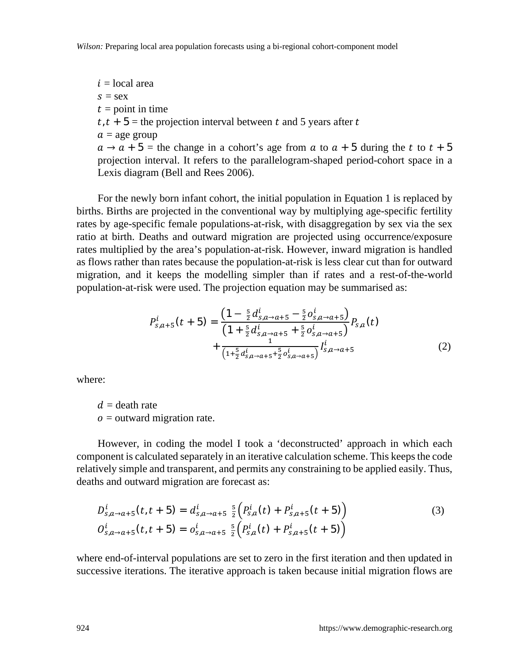$i =$ local area  $s =$  sex  $t =$  point in time  $t, t + 5$  = the projection interval between t and 5 years after t  $a =$  age group  $a \rightarrow a + 5$  = the change in a cohort's age from a to  $a + 5$  during the t to  $t + 5$ projection interval. It refers to the parallelogram-shaped period-cohort space in a Lexis diagram (Bell and Rees 2006).

For the newly born infant cohort, the initial population in Equation 1 is replaced by births. Births are projected in the conventional way by multiplying age-specific fertility rates by age-specific female populations-at-risk, with disaggregation by sex via the sex ratio at birth. Deaths and outward migration are projected using occurrence/exposure rates multiplied by the area's population-at-risk. However, inward migration is handled as flows rather than rates because the population-at-risk is less clear cut than for outward migration, and it keeps the modelling simpler than if rates and a rest-of-the-world population-at-risk were used. The projection equation may be summarised as:

$$
P_{s,a+5}^{i}(t+5) = \frac{\left(1 - \frac{5}{2}d_{s,a \to a+5}^{i} - \frac{5}{2}o_{s,a \to a+5}^{i}\right)}{\left(1 + \frac{5}{2}d_{s,a \to a+5}^{i} + \frac{5}{2}o_{s,a \to a+5}^{i}\right)}P_{s,a}(t) + \frac{1}{\left(1 + \frac{5}{2}d_{s,a \to a+5}^{i} + \frac{5}{2}o_{s,a \to a+5}^{i}\right)}I_{s,a \to a+5}^{i}
$$
(2)

where:

 $d =$  death rate  $o =$  outward migration rate.

However, in coding the model I took a 'deconstructed' approach in which each component is calculated separately in an iterative calculation scheme. This keeps the code relatively simple and transparent, and permits any constraining to be applied easily. Thus, deaths and outward migration are forecast as:

$$
D_{s,a\to a+5}^{i}(t, t+5) = d_{s,a\to a+5}^{i} \frac{5}{2} \Big( P_{s,a}^{i}(t) + P_{s,a+5}^{i}(t+5) \Big)
$$
  
\n
$$
O_{s,a\to a+5}^{i}(t, t+5) = o_{s,a\to a+5}^{i} \frac{5}{2} \Big( P_{s,a}^{i}(t) + P_{s,a+5}^{i}(t+5) \Big)
$$
\n(3)

where end-of-interval populations are set to zero in the first iteration and then updated in successive iterations. The iterative approach is taken because initial migration flows are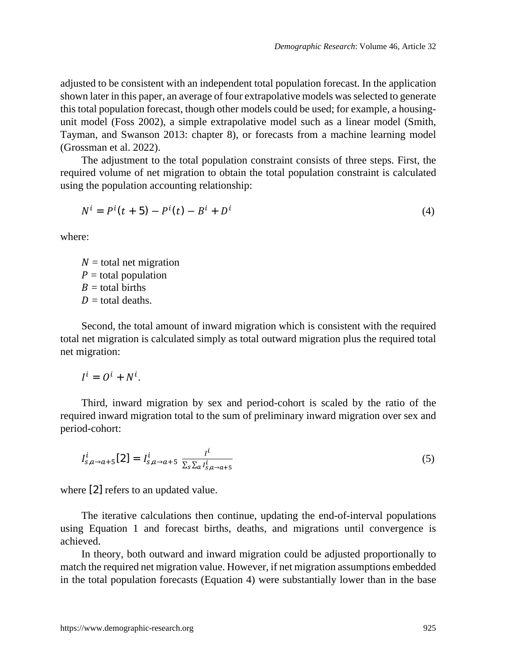adjusted to be consistent with an independent total population forecast. In the application shown later in this paper, an average of four extrapolative models was selected to generate this total population forecast, though other models could be used; for example, a housingunit model (Foss 2002), a simple extrapolative model such as a linear model (Smith, Tayman, and Swanson 2013: chapter 8), or forecasts from a machine learning model (Grossman et al. 2022).

The adjustment to the total population constraint consists of three steps. First, the required volume of net migration to obtain the total population constraint is calculated using the population accounting relationship:

$$
N^{i} = P^{i}(t + 5) - P^{i}(t) - B^{i} + D^{i}
$$
\n(4)

where:

 $N =$  total net migration  $P =$  total population  $B =$  total births  $D =$  total deaths.

Second, the total amount of inward migration which is consistent with the required total net migration is calculated simply as total outward migration plus the required total net migration:

$$
I^i = O^i + N^i.
$$

Third, inward migration by sex and period-cohort is scaled by the ratio of the required inward migration total to the sum of preliminary inward migration over sex and period-cohort:

$$
I_{s,a\to a+5}^i[2] = I_{s,a\to a+5}^i \frac{I^i}{\sum_{s\geq a} I_{s,a\to a+5}^i}
$$
 (5)

where [2] refers to an updated value.

The iterative calculations then continue, updating the end-of-interval populations using Equation 1 and forecast births, deaths, and migrations until convergence is achieved.

In theory, both outward and inward migration could be adjusted proportionally to match the required net migration value. However, if net migration assumptions embedded in the total population forecasts (Equation 4) were substantially lower than in the base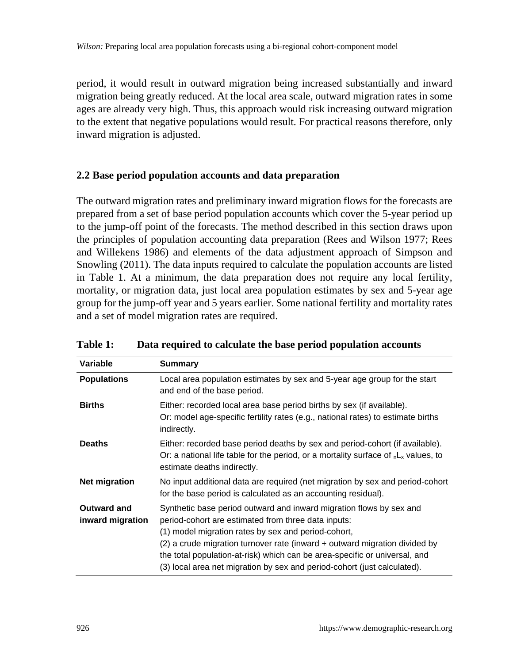period, it would result in outward migration being increased substantially and inward migration being greatly reduced. At the local area scale, outward migration rates in some ages are already very high. Thus, this approach would risk increasing outward migration to the extent that negative populations would result. For practical reasons therefore, only inward migration is adjusted.

#### **2.2 Base period population accounts and data preparation**

The outward migration rates and preliminary inward migration flows for the forecasts are prepared from a set of base period population accounts which cover the 5-year period up to the jump-off point of the forecasts. The method described in this section draws upon the principles of population accounting data preparation (Rees and Wilson 1977; Rees and Willekens 1986) and elements of the data adjustment approach of Simpson and Snowling (2011). The data inputs required to calculate the population accounts are listed in Table 1. At a minimum, the data preparation does not require any local fertility, mortality, or migration data, just local area population estimates by sex and 5-year age group for the jump-off year and 5 years earlier. Some national fertility and mortality rates and a set of model migration rates are required.

| Variable                        | Summary                                                                                                                                                                                                                                                                                                                                                                                                                   |
|---------------------------------|---------------------------------------------------------------------------------------------------------------------------------------------------------------------------------------------------------------------------------------------------------------------------------------------------------------------------------------------------------------------------------------------------------------------------|
| <b>Populations</b>              | Local area population estimates by sex and 5-year age group for the start<br>and end of the base period.                                                                                                                                                                                                                                                                                                                  |
| <b>Births</b>                   | Either: recorded local area base period births by sex (if available).<br>Or: model age-specific fertility rates (e.g., national rates) to estimate births<br>indirectly.                                                                                                                                                                                                                                                  |
| <b>Deaths</b>                   | Either: recorded base period deaths by sex and period-cohort (if available).<br>Or: a national life table for the period, or a mortality surface of $nL_x$ values, to<br>estimate deaths indirectly.                                                                                                                                                                                                                      |
| Net migration                   | No input additional data are required (net migration by sex and period-cohort<br>for the base period is calculated as an accounting residual).                                                                                                                                                                                                                                                                            |
| Outward and<br>inward migration | Synthetic base period outward and inward migration flows by sex and<br>period-cohort are estimated from three data inputs:<br>(1) model migration rates by sex and period-cohort,<br>(2) a crude migration turnover rate (inward + outward migration divided by<br>the total population-at-risk) which can be area-specific or universal, and<br>(3) local area net migration by sex and period-cohort (just calculated). |

| <b>Table 1:</b> |  |  |  | Data required to calculate the base period population accounts |
|-----------------|--|--|--|----------------------------------------------------------------|
|-----------------|--|--|--|----------------------------------------------------------------|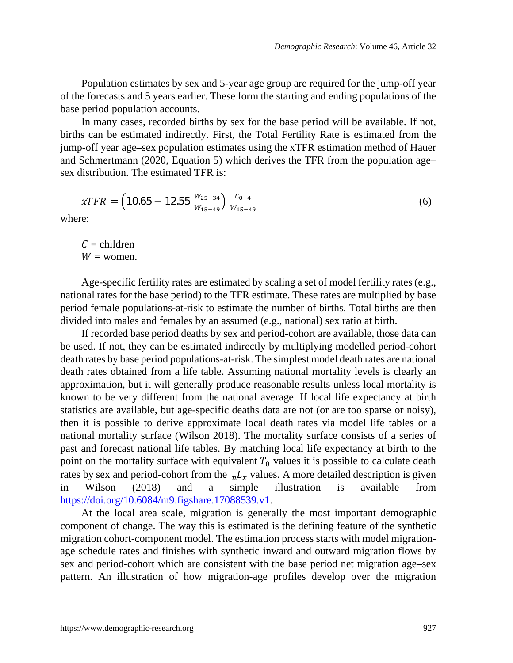Population estimates by sex and 5-year age group are required for the jump-off year of the forecasts and 5 years earlier. These form the starting and ending populations of the base period population accounts.

In many cases, recorded births by sex for the base period will be available. If not, births can be estimated indirectly. First, the Total Fertility Rate is estimated from the jump-off year age–sex population estimates using the xTFR estimation method of Hauer and Schmertmann (2020, Equation 5) which derives the TFR from the population age– sex distribution. The estimated TFR is:

$$
\chi TFR = \left(10.65 - 12.55 \frac{W_{25-34}}{W_{15-49}}\right) \frac{C_{0-4}}{W_{15-49}}
$$
(6)

where:

 $C =$ children  $W =$  women.

Age-specific fertility rates are estimated by scaling a set of model fertility rates (e.g., national rates for the base period) to the TFR estimate. These rates are multiplied by base period female populations-at-risk to estimate the number of births. Total births are then divided into males and females by an assumed (e.g., national) sex ratio at birth.

If recorded base period deaths by sex and period-cohort are available, those data can be used. If not, they can be estimated indirectly by multiplying modelled period-cohort death rates by base period populations-at-risk. The simplest model death rates are national death rates obtained from a life table. Assuming national mortality levels is clearly an approximation, but it will generally produce reasonable results unless local mortality is known to be very different from the national average. If local life expectancy at birth statistics are available, but age-specific deaths data are not (or are too sparse or noisy), then it is possible to derive approximate local death rates via model life tables or a national mortality surface (Wilson 2018). The mortality surface consists of a series of past and forecast national life tables. By matching local life expectancy at birth to the point on the mortality surface with equivalent  $T_0$  values it is possible to calculate death rates by sex and period-cohort from the  $nL_x$  values. A more detailed description is given in Wilson (2018) and a simple illustration is available from [https://doi.org/10.6084/m9.figshare.17088539.v1.](https://doi.org/10.6084/m9.figshare.17088539.v1)

At the local area scale, migration is generally the most important demographic component of change. The way this is estimated is the defining feature of the synthetic migration cohort-component model. The estimation process starts with model migrationage schedule rates and finishes with synthetic inward and outward migration flows by sex and period-cohort which are consistent with the base period net migration age–sex pattern. An illustration of how migration-age profiles develop over the migration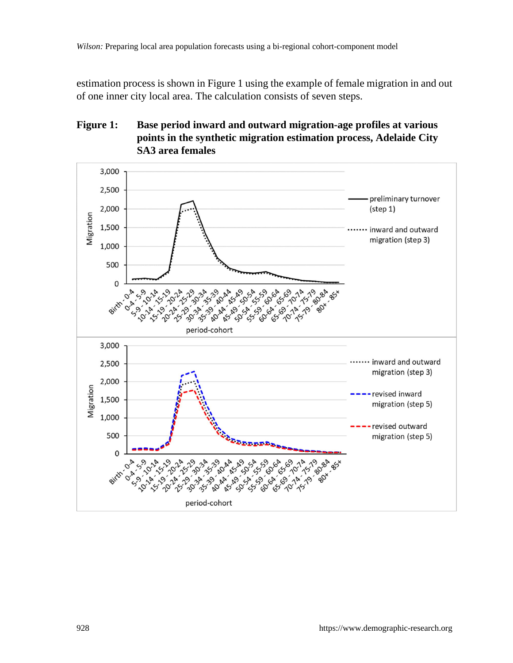estimation process is shown in Figure 1 using the example of female migration in and out of one inner city local area. The calculation consists of seven steps.

## **Figure 1: Base period inward and outward migration-age profiles at various points in the synthetic migration estimation process, Adelaide City SA3 area females**

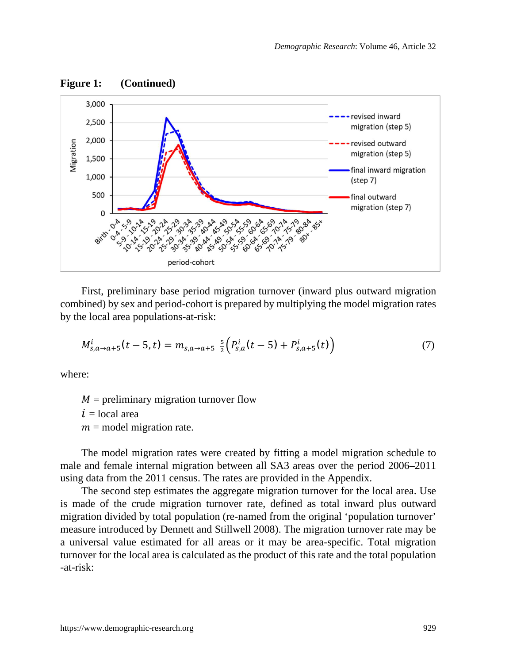

First, preliminary base period migration turnover (inward plus outward migration combined) by sex and period-cohort is prepared by multiplying the model migration rates by the local area populations-at-risk:

$$
M_{s,a\to a+5}^{i}(t-5,t) = m_{s,a\to a+5} \frac{5}{2} \Big( P_{s,a}^{i}(t-5) + P_{s,a+5}^{i}(t) \Big) \tag{7}
$$

where:

 $M =$  preliminary migration turnover flow  $i =$ local area  $m =$  model migration rate.

The model migration rates were created by fitting a model migration schedule to male and female internal migration between all SA3 areas over the period 2006–2011 using data from the 2011 census. The rates are provided in the Appendix.

The second step estimates the aggregate migration turnover for the local area. Use is made of the crude migration turnover rate, defined as total inward plus outward migration divided by total population (re-named from the original 'population turnover' measure introduced by Dennett and Stillwell 2008). The migration turnover rate may be a universal value estimated for all areas or it may be area-specific. Total migration turnover for the local area is calculated as the product of this rate and the total population -at-risk: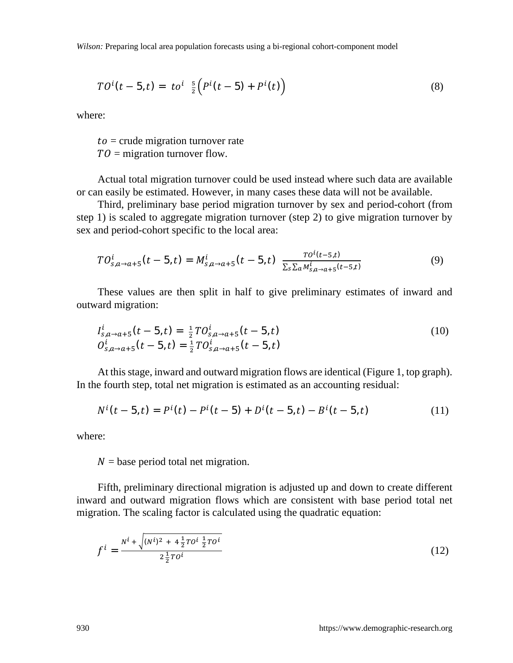$$
TOi(t - 5, t) = toi \frac{5}{2} (Pi(t - 5) + Pi(t))
$$
\n(8)

where:

 $to =$  crude migration turnover rate  $TO =$  migration turnover flow.

Actual total migration turnover could be used instead where such data are available or can easily be estimated. However, in many cases these data will not be available.

Third, preliminary base period migration turnover by sex and period-cohort (from step 1) is scaled to aggregate migration turnover (step 2) to give migration turnover by sex and period-cohort specific to the local area:

$$
TO_{s,a\to a+5}^i(t-5,t) = M_{s,a\to a+5}^i(t-5,t) \frac{TO^i(t-5,t)}{\sum_{s}\sum_{a}M_{s,a\to a+5}^i(t-5,t)}
$$
(9)

These values are then split in half to give preliminary estimates of inward and outward migration:

$$
I_{S,a\to a+5}^{i}(t-5,t) = \frac{1}{2}T O_{S,a\to a+5}^{i}(t-5,t)
$$
  
\n
$$
O_{S,a\to a+5}^{i}(t-5,t) = \frac{1}{2}T O_{S,a\to a+5}^{i}(t-5,t)
$$
\n(10)

At this stage, inward and outward migration flows are identical (Figure 1, top graph). In the fourth step, total net migration is estimated as an accounting residual:

$$
N^{i}(t-5,t)=P^{i}(t)-P^{i}(t-5)+D^{i}(t-5,t)-B^{i}(t-5,t)
$$
\n(11)

where:

 $N =$  base period total net migration.

Fifth, preliminary directional migration is adjusted up and down to create different inward and outward migration flows which are consistent with base period total net migration. The scaling factor is calculated using the quadratic equation:

$$
f^{i} = \frac{N^{i} + \sqrt{(N^{i})^{2} + 4\frac{1}{2}T^{i}}\frac{1}{2}T^{i}}{2\frac{1}{2}T^{i}}
$$
(12)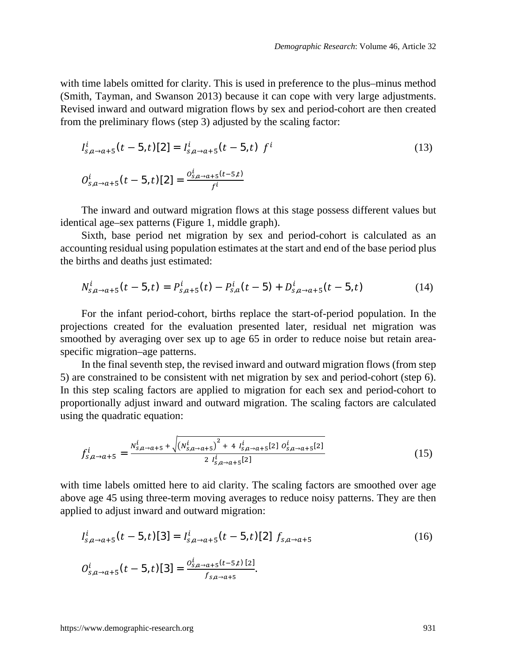with time labels omitted for clarity. This is used in preference to the plus–minus method (Smith, Tayman, and Swanson 2013) because it can cope with very large adjustments. Revised inward and outward migration flows by sex and period-cohort are then created from the preliminary flows (step 3) adjusted by the scaling factor:

$$
I_{s,a\to a+5}^{i}(t-5,t)[2] = I_{s,a\to a+5}^{i}(t-5,t) f^{i}
$$
\n
$$
O_{s,a\to a+5}^{i}(t-5,t)[2] = \frac{o_{s,a\to a+5}^{i}(t-5,t)}{f^{i}}
$$
\n(13)

The inward and outward migration flows at this stage possess different values but identical age–sex patterns (Figure 1, middle graph).

Sixth, base period net migration by sex and period-cohort is calculated as an accounting residual using population estimates at the start and end of the base period plus the births and deaths just estimated:

$$
N_{s,a\to a+5}^i(t-5,t) = P_{s,a+5}^i(t) - P_{s,a}^i(t-5) + D_{s,a\to a+5}^i(t-5,t)
$$
\n(14)

For the infant period-cohort, births replace the start-of-period population. In the projections created for the evaluation presented later, residual net migration was smoothed by averaging over sex up to age 65 in order to reduce noise but retain areaspecific migration–age patterns.

In the final seventh step, the revised inward and outward migration flows (from step 5) are constrained to be consistent with net migration by sex and period-cohort (step 6). In this step scaling factors are applied to migration for each sex and period-cohort to proportionally adjust inward and outward migration. The scaling factors are calculated using the quadratic equation:

$$
f_{s,a\to a+5}^{i} = \frac{N_{s,a\to a+5}^{i} + \sqrt{(N_{s,a\to a+5}^{i})^{2} + 4I_{s,a\to a+5}^{i}[2] O_{s,a\to a+5}^{i}[2]}}{2I_{s,a\to a+5}^{i}[2]}
$$
(15)

with time labels omitted here to aid clarity. The scaling factors are smoothed over age above age 45 using three-term moving averages to reduce noisy patterns. They are then applied to adjust inward and outward migration:

$$
I_{s,a\to a+5}^{i}(t-5,t)[3] = I_{s,a\to a+5}^{i}(t-5,t)[2] f_{s,a\to a+5}
$$
\n
$$
O_{s,a\to a+5}^{i}(t-5,t)[3] = \frac{o_{s,a\to a+5}^{i}(t-5,t)[2]}{f_{s,a\to a+5}}.
$$
\n(16)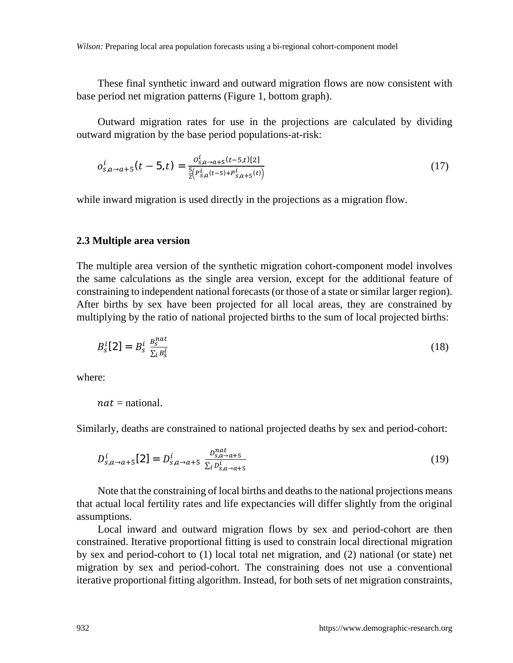*Wilson:* Preparing local area population forecasts using a bi-regional cohort-component model

These final synthetic inward and outward migration flows are now consistent with base period net migration patterns (Figure 1, bottom graph).

Outward migration rates for use in the projections are calculated by dividing outward migration by the base period populations-at-risk:

$$
o_{s,a\to a+5}^{i}(t-5,t) = \frac{o_{s,a\to a+5}^{i}(t-5,t)[2]}{\frac{5}{2}\left(P_{s,a}^{i}(t-5)+P_{s,a+5}^{i}(t)\right)}
$$
(17)

while inward migration is used directly in the projections as a migration flow.

#### **2.3 Multiple area version**

The multiple area version of the synthetic migration cohort-component model involves the same calculations as the single area version, except for the additional feature of constraining to independent national forecasts (or those of a state or similar larger region). After births by sex have been projected for all local areas, they are constrained by multiplying by the ratio of national projected births to the sum of local projected births:

$$
B_s^i[2] = B_s^i \frac{B_s^{nat}}{\sum_i B_s^i}
$$
 (18)

where:

 $nat =$  national.

Similarly, deaths are constrained to national projected deaths by sex and period-cohort:

$$
D_{s,a \to a+5}^{i}[2] = D_{s,a \to a+5}^{i} \frac{D_{s,a \to a+5}^{nat}}{\sum_{i} D_{s,a \to a+5}^{i}} \tag{19}
$$

Note that the constraining of local births and deaths to the national projections means that actual local fertility rates and life expectancies will differ slightly from the original assumptions.

Local inward and outward migration flows by sex and period-cohort are then constrained. Iterative proportional fitting is used to constrain local directional migration by sex and period-cohort to (1) local total net migration, and (2) national (or state) net migration by sex and period-cohort. The constraining does not use a conventional iterative proportional fitting algorithm. Instead, for both sets of net migration constraints,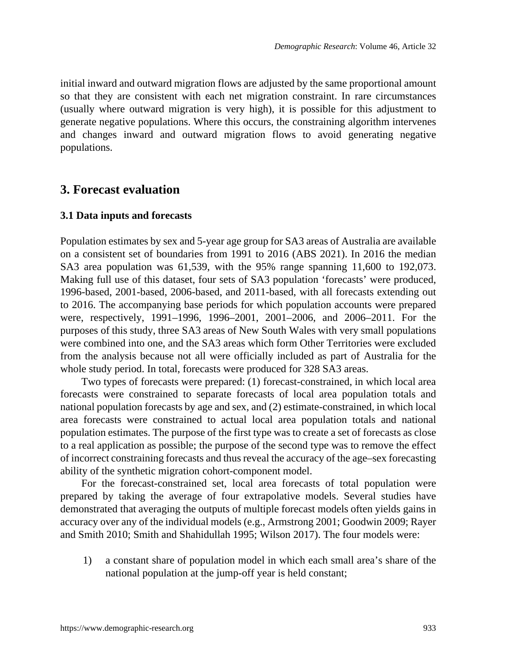initial inward and outward migration flows are adjusted by the same proportional amount so that they are consistent with each net migration constraint. In rare circumstances (usually where outward migration is very high), it is possible for this adjustment to generate negative populations. Where this occurs, the constraining algorithm intervenes and changes inward and outward migration flows to avoid generating negative populations.

## **3. Forecast evaluation**

#### **3.1 Data inputs and forecasts**

Population estimates by sex and 5-year age group for SA3 areas of Australia are available on a consistent set of boundaries from 1991 to 2016 (ABS 2021). In 2016 the median SA3 area population was 61,539, with the 95% range spanning 11,600 to 192,073. Making full use of this dataset, four sets of SA3 population 'forecasts' were produced, 1996-based, 2001-based, 2006-based, and 2011-based, with all forecasts extending out to 2016. The accompanying base periods for which population accounts were prepared were, respectively, 1991–1996, 1996–2001, 2001–2006, and 2006–2011. For the purposes of this study, three SA3 areas of New South Wales with very small populations were combined into one, and the SA3 areas which form Other Territories were excluded from the analysis because not all were officially included as part of Australia for the whole study period. In total, forecasts were produced for 328 SA3 areas.

Two types of forecasts were prepared: (1) forecast-constrained, in which local area forecasts were constrained to separate forecasts of local area population totals and national population forecasts by age and sex, and (2) estimate-constrained, in which local area forecasts were constrained to actual local area population totals and national population estimates. The purpose of the first type was to create a set of forecasts as close to a real application as possible; the purpose of the second type was to remove the effect of incorrect constraining forecasts and thus reveal the accuracy of the age–sex forecasting ability of the synthetic migration cohort-component model.

For the forecast-constrained set, local area forecasts of total population were prepared by taking the average of four extrapolative models. Several studies have demonstrated that averaging the outputs of multiple forecast models often yields gains in accuracy over any of the individual models (e.g., Armstrong 2001; Goodwin 2009; Rayer and Smith 2010; Smith and Shahidullah 1995; Wilson 2017). The four models were:

1) a constant share of population model in which each small area's share of the national population at the jump-off year is held constant;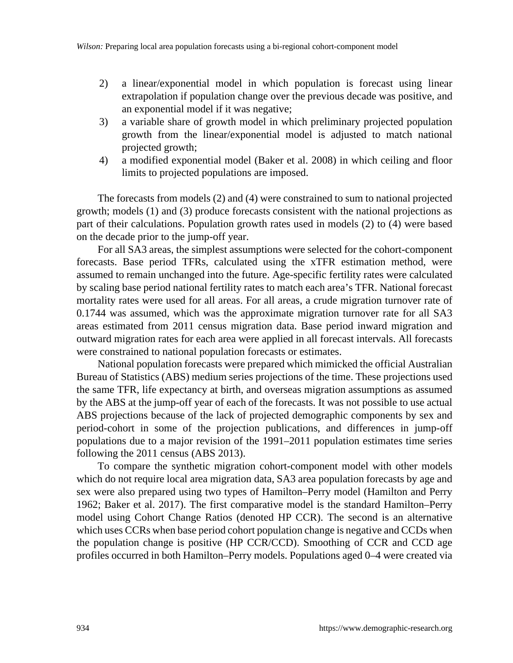- 2) a linear/exponential model in which population is forecast using linear extrapolation if population change over the previous decade was positive, and an exponential model if it was negative;
- 3) a variable share of growth model in which preliminary projected population growth from the linear/exponential model is adjusted to match national projected growth;
- 4) a modified exponential model (Baker et al. 2008) in which ceiling and floor limits to projected populations are imposed.

The forecasts from models (2) and (4) were constrained to sum to national projected growth; models (1) and (3) produce forecasts consistent with the national projections as part of their calculations. Population growth rates used in models (2) to (4) were based on the decade prior to the jump-off year.

For all SA3 areas, the simplest assumptions were selected for the cohort-component forecasts. Base period TFRs, calculated using the xTFR estimation method, were assumed to remain unchanged into the future. Age-specific fertility rates were calculated by scaling base period national fertility rates to match each area's TFR. National forecast mortality rates were used for all areas. For all areas, a crude migration turnover rate of 0.1744 was assumed, which was the approximate migration turnover rate for all SA3 areas estimated from 2011 census migration data. Base period inward migration and outward migration rates for each area were applied in all forecast intervals. All forecasts were constrained to national population forecasts or estimates.

National population forecasts were prepared which mimicked the official Australian Bureau of Statistics (ABS) medium series projections of the time. These projections used the same TFR, life expectancy at birth, and overseas migration assumptions as assumed by the ABS at the jump-off year of each of the forecasts. It was not possible to use actual ABS projections because of the lack of projected demographic components by sex and period-cohort in some of the projection publications, and differences in jump-off populations due to a major revision of the 1991–2011 population estimates time series following the 2011 census (ABS 2013).

To compare the synthetic migration cohort-component model with other models which do not require local area migration data, SA3 area population forecasts by age and sex were also prepared using two types of Hamilton–Perry model (Hamilton and Perry 1962; Baker et al. 2017). The first comparative model is the standard Hamilton–Perry model using Cohort Change Ratios (denoted HP CCR). The second is an alternative which uses CCRs when base period cohort population change is negative and CCDs when the population change is positive (HP CCR/CCD). Smoothing of CCR and CCD age profiles occurred in both Hamilton–Perry models. Populations aged 0–4 were created via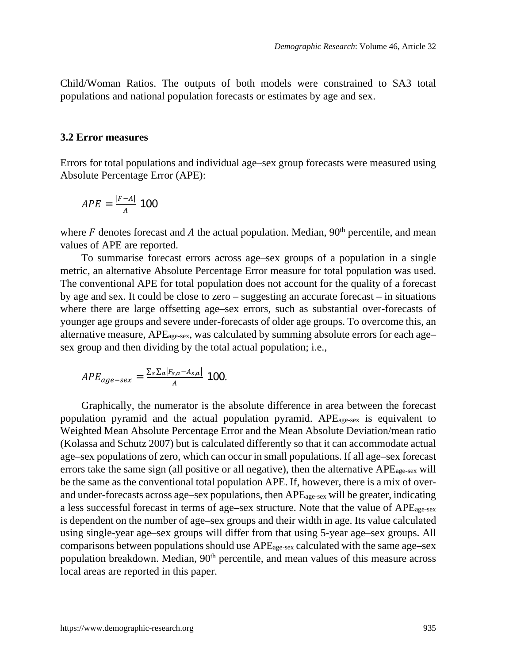Child/Woman Ratios. The outputs of both models were constrained to SA3 total populations and national population forecasts or estimates by age and sex.

#### **3.2 Error measures**

Errors for total populations and individual age–sex group forecasts were measured using Absolute Percentage Error (APE):

$$
APE = \frac{|F-A|}{A} 100
$$

where F denotes forecast and A the actual population. Median,  $90<sup>th</sup>$  percentile, and mean values of APE are reported.

To summarise forecast errors across age–sex groups of a population in a single metric, an alternative Absolute Percentage Error measure for total population was used. The conventional APE for total population does not account for the quality of a forecast by age and sex. It could be close to zero – suggesting an accurate forecast – in situations where there are large offsetting age–sex errors, such as substantial over-forecasts of younger age groups and severe under-forecasts of older age groups. To overcome this, an alternative measure, APEage-sex, was calculated by summing absolute errors for each age– sex group and then dividing by the total actual population; i.e.,

$$
APE_{age-sex} = \frac{\sum_{s} \sum_{a} |F_{s,a} - A_{s,a}|}{A} \quad 100.
$$

Graphically, the numerator is the absolute difference in area between the forecast population pyramid and the actual population pyramid. APEage-sex is equivalent to Weighted Mean Absolute Percentage Error and the Mean Absolute Deviation/mean ratio (Kolassa and Schutz 2007) but is calculated differently so that it can accommodate actual age–sex populations of zero, which can occur in small populations. If all age–sex forecast errors take the same sign (all positive or all negative), then the alternative APEage-sex will be the same as the conventional total population APE. If, however, there is a mix of overand under-forecasts across age–sex populations, then APEage-sex will be greater, indicating a less successful forecast in terms of age–sex structure. Note that the value of APEage-sex is dependent on the number of age–sex groups and their width in age. Its value calculated using single-year age–sex groups will differ from that using 5-year age–sex groups. All comparisons between populations should use APEage-sex calculated with the same age–sex population breakdown. Median,  $90<sup>th</sup>$  percentile, and mean values of this measure across local areas are reported in this paper.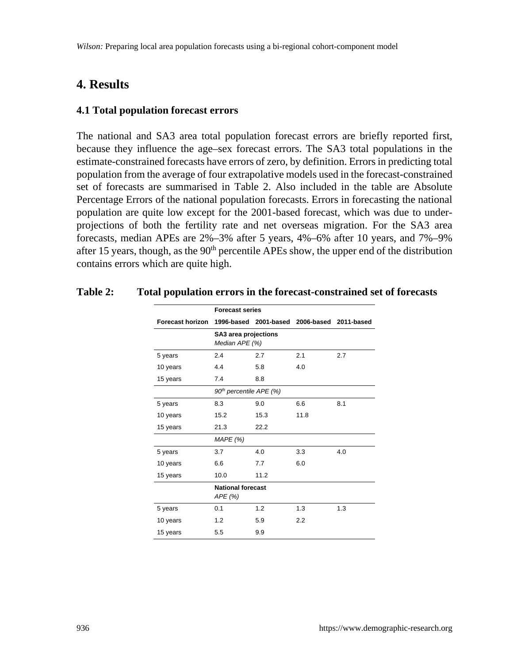## **4. Results**

#### **4.1 Total population forecast errors**

The national and SA3 area total population forecast errors are briefly reported first, because they influence the age–sex forecast errors. The SA3 total populations in the estimate-constrained forecasts have errors of zero, by definition. Errors in predicting total population from the average of four extrapolative models used in the forecast-constrained set of forecasts are summarised in Table 2. Also included in the table are Absolute Percentage Errors of the national population forecasts. Errors in forecasting the national population are quite low except for the 2001-based forecast, which was due to underprojections of both the fertility rate and net overseas migration. For the SA3 area forecasts, median APEs are 2%–3% after 5 years, 4%–6% after 10 years, and 7%–9% after 15 years, though, as the  $90<sup>th</sup>$  percentile APEs show, the upper end of the distribution contains errors which are quite high.

|                         | <b>Forecast series</b>                 |                       |            |            |  |
|-------------------------|----------------------------------------|-----------------------|------------|------------|--|
| <b>Forecast horizon</b> |                                        | 1996-based 2001-based | 2006-based | 2011-based |  |
|                         | SA3 area projections<br>Median APE (%) |                       |            |            |  |
| 5 years                 | 2.4                                    | 2.7                   | 2.1        | 2.7        |  |
| 10 years                | 4.4                                    | 5.8                   | 4.0        |            |  |
| 15 years                | 7.4                                    | 8.8                   |            |            |  |
|                         | 90 <sup>th</sup> percentile APE (%)    |                       |            |            |  |
| 5 years                 | 8.3                                    | 9.0                   | 6.6        | 8.1        |  |
| 10 years                | 15.2                                   | 15.3                  | 11.8       |            |  |
| 15 years                | 21.3                                   | 22.2                  |            |            |  |
|                         | MAPE(%)                                |                       |            |            |  |
| 5 years                 | 3.7                                    | 4.0                   | 3.3        | 4.0        |  |
| 10 years                | 6.6                                    | 7.7                   | 6.0        |            |  |
| 15 years                | 10.0                                   | 11.2                  |            |            |  |
|                         | <b>National forecast</b><br>APE(%)     |                       |            |            |  |
| 5 years                 | 0.1                                    | 1.2                   | 1.3        | 1.3        |  |
| 10 years                | 1.2                                    | 5.9                   | 2.2        |            |  |
| 15 years                | 5.5                                    | 9.9                   |            |            |  |

#### **Table 2: Total population errors in the forecast-constrained set of forecasts**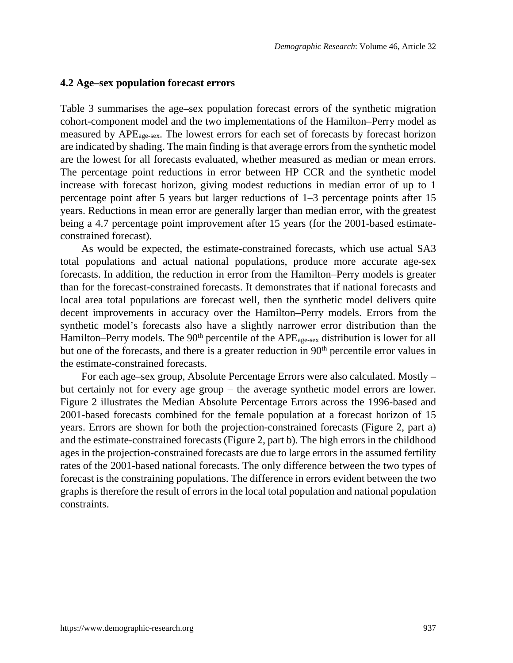#### **4.2 Age–sex population forecast errors**

Table 3 summarises the age–sex population forecast errors of the synthetic migration cohort-component model and the two implementations of the Hamilton–Perry model as measured by APEage-sex. The lowest errors for each set of forecasts by forecast horizon are indicated by shading. The main finding is that average errors from the synthetic model are the lowest for all forecasts evaluated, whether measured as median or mean errors. The percentage point reductions in error between HP CCR and the synthetic model increase with forecast horizon, giving modest reductions in median error of up to 1 percentage point after 5 years but larger reductions of 1–3 percentage points after 15 years. Reductions in mean error are generally larger than median error, with the greatest being a 4.7 percentage point improvement after 15 years (for the 2001-based estimateconstrained forecast).

As would be expected, the estimate-constrained forecasts, which use actual SA3 total populations and actual national populations, produce more accurate age-sex forecasts. In addition, the reduction in error from the Hamilton–Perry models is greater than for the forecast-constrained forecasts. It demonstrates that if national forecasts and local area total populations are forecast well, then the synthetic model delivers quite decent improvements in accuracy over the Hamilton–Perry models. Errors from the synthetic model's forecasts also have a slightly narrower error distribution than the Hamilton–Perry models. The  $90<sup>th</sup>$  percentile of the APE<sub>age-sex</sub> distribution is lower for all but one of the forecasts, and there is a greater reduction in 90<sup>th</sup> percentile error values in the estimate-constrained forecasts.

For each age–sex group, Absolute Percentage Errors were also calculated. Mostly – but certainly not for every age group – the average synthetic model errors are lower. Figure 2 illustrates the Median Absolute Percentage Errors across the 1996-based and 2001-based forecasts combined for the female population at a forecast horizon of 15 years. Errors are shown for both the projection-constrained forecasts (Figure 2, part a) and the estimate-constrained forecasts (Figure 2, part b). The high errors in the childhood ages in the projection-constrained forecasts are due to large errors in the assumed fertility rates of the 2001-based national forecasts. The only difference between the two types of forecast is the constraining populations. The difference in errors evident between the two graphs is therefore the result of errors in the local total population and national population constraints.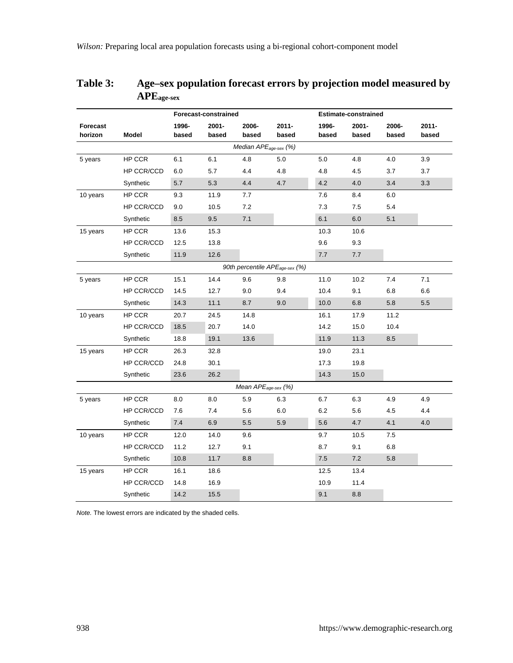|                                   |            | Forecast-constrained |                |                                 |                                            | <b>Estimate-constrained</b> |                |                |                   |
|-----------------------------------|------------|----------------------|----------------|---------------------------------|--------------------------------------------|-----------------------------|----------------|----------------|-------------------|
| Forecast<br>horizon               | Model      | 1996-<br>based       | 2001-<br>based | 2006-<br>based                  | $2011 -$<br>based                          | 1996-<br>based              | 2001-<br>based | 2006-<br>based | $2011 -$<br>based |
| Median APE <sub>age-sex</sub> (%) |            |                      |                |                                 |                                            |                             |                |                |                   |
| 5 years                           | HP CCR     | 6.1                  | 6.1            | 4.8                             | 5.0                                        | 5.0                         | 4.8            | 4.0            | 3.9               |
|                                   | HP CCR/CCD | 6.0                  | 5.7            | 4.4                             | 4.8                                        | 4.8                         | 4.5            | 3.7            | 3.7               |
|                                   | Synthetic  | 5.7                  | 5.3            | 4.4                             | 4.7                                        | 4.2                         | 4.0            | 3.4            | 3.3               |
| 10 years                          | HP CCR     | 9.3                  | 11.9           | 7.7                             |                                            | 7.6                         | 8.4            | 6.0            |                   |
|                                   | HP CCR/CCD | 9.0                  | 10.5           | 7.2                             |                                            | 7.3                         | 7.5            | 5.4            |                   |
|                                   | Synthetic  | 8.5                  | 9.5            | 7.1                             |                                            | 6.1                         | 6.0            | 5.1            |                   |
| 15 years                          | HP CCR     | 13.6                 | 15.3           |                                 |                                            | 10.3                        | 10.6           |                |                   |
|                                   | HP CCR/CCD | 12.5                 | 13.8           |                                 |                                            | 9.6                         | 9.3            |                |                   |
|                                   | Synthetic  | 11.9                 | 12.6           |                                 |                                            | 7.7                         | 7.7            |                |                   |
|                                   |            |                      |                |                                 | 90th percentile APE <sub>age-sex</sub> (%) |                             |                |                |                   |
| 5 years                           | HP CCR     | 15.1                 | 14.4           | 9.6                             | 9.8                                        | 11.0                        | 10.2           | 7.4            | 7.1               |
|                                   | HP CCR/CCD | 14.5                 | 12.7           | 9.0                             | 9.4                                        | 10.4                        | 9.1            | 6.8            | 6.6               |
|                                   | Synthetic  | 14.3                 | 11.1           | 8.7                             | 9.0                                        | 10.0                        | 6.8            | 5.8            | 5.5               |
| 10 years                          | HP CCR     | 20.7                 | 24.5           | 14.8                            |                                            | 16.1                        | 17.9           | 11.2           |                   |
|                                   | HP CCR/CCD | 18.5                 | 20.7           | 14.0                            |                                            | 14.2                        | 15.0           | 10.4           |                   |
|                                   | Synthetic  | 18.8                 | 19.1           | 13.6                            |                                            | 11.9                        | 11.3           | 8.5            |                   |
| 15 years                          | HP CCR     | 26.3                 | 32.8           |                                 |                                            | 19.0                        | 23.1           |                |                   |
|                                   | HP CCR/CCD | 24.8                 | 30.1           |                                 |                                            | 17.3                        | 19.8           |                |                   |
|                                   | Synthetic  | 23.6                 | 26.2           |                                 |                                            | 14.3                        | 15.0           |                |                   |
|                                   |            |                      |                | Mean APE <sub>age-sex</sub> (%) |                                            |                             |                |                |                   |
| 5 years                           | HP CCR     | 8.0                  | 8.0            | 5.9                             | 6.3                                        | 6.7                         | 6.3            | 4.9            | 4.9               |
|                                   | HP CCR/CCD | 7.6                  | 7.4            | 5.6                             | 6.0                                        | 6.2                         | 5.6            | 4.5            | 4.4               |
|                                   | Synthetic  | 7.4                  | 6.9            | 5.5                             | 5.9                                        | 5.6                         | 4.7            | 4.1            | 4.0               |
| 10 years                          | HP CCR     | 12.0                 | 14.0           | 9.6                             |                                            | 9.7                         | 10.5           | 7.5            |                   |
|                                   | HP CCR/CCD | 11.2                 | 12.7           | 9.1                             |                                            | 8.7                         | 9.1            | 6.8            |                   |
|                                   | Synthetic  | 10.8                 | 11.7           | 8.8                             |                                            | 7.5                         | 7.2            | 5.8            |                   |
| 15 years                          | HP CCR     | 16.1                 | 18.6           |                                 |                                            | 12.5                        | 13.4           |                |                   |
|                                   | HP CCR/CCD | 14.8                 | 16.9           |                                 |                                            | 10.9                        | 11.4           |                |                   |
|                                   | Synthetic  | 14.2                 | 15.5           |                                 |                                            | 9.1                         | 8.8            |                |                   |

## **Table 3: Age–sex population forecast errors by projection model measured by APEage-sex**

*Note.* The lowest errors are indicated by the shaded cells.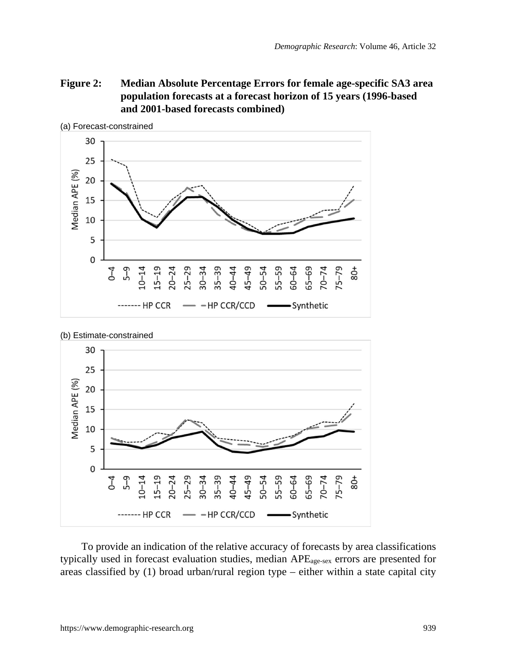## **Figure 2: Median Absolute Percentage Errors for female age-specific SA3 area population forecasts at a forecast horizon of 15 years (1996-based and 2001-based forecasts combined)**



(a) Forecast-constrained



To provide an indication of the relative accuracy of forecasts by area classifications typically used in forecast evaluation studies, median APEage-sex errors are presented for areas classified by (1) broad urban/rural region type – either within a state capital city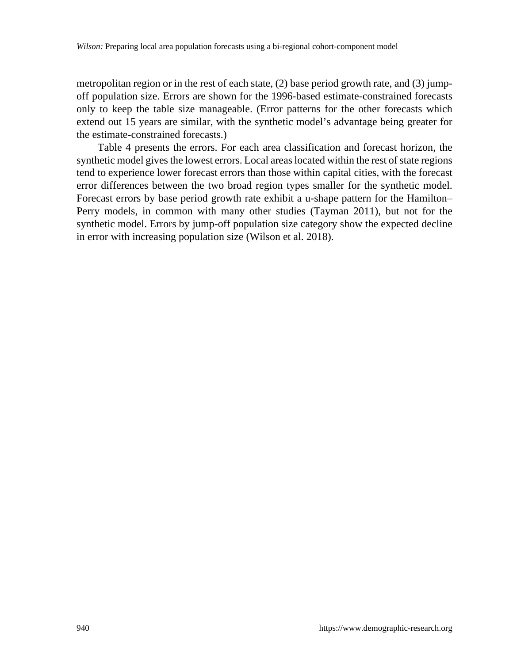metropolitan region or in the rest of each state, (2) base period growth rate, and (3) jumpoff population size. Errors are shown for the 1996-based estimate-constrained forecasts only to keep the table size manageable. (Error patterns for the other forecasts which extend out 15 years are similar, with the synthetic model's advantage being greater for the estimate-constrained forecasts.)

Table 4 presents the errors. For each area classification and forecast horizon, the synthetic model gives the lowest errors. Local areas located within the rest of state regions tend to experience lower forecast errors than those within capital cities, with the forecast error differences between the two broad region types smaller for the synthetic model. Forecast errors by base period growth rate exhibit a u-shape pattern for the Hamilton– Perry models, in common with many other studies (Tayman 2011), but not for the synthetic model. Errors by jump-off population size category show the expected decline in error with increasing population size (Wilson et al. 2018).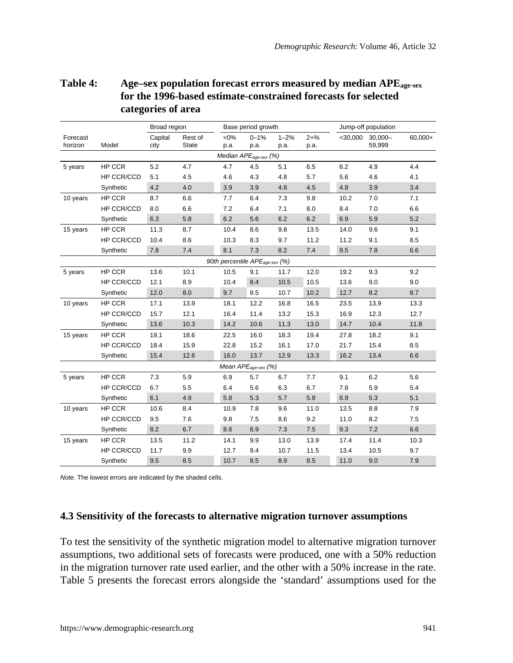## **Table 4: Age–sex population forecast errors measured by median APEage-sex for the 1996-based estimate-constrained forecasts for selected categories of area**

|                     |            | Broad region    |                  | Base period growth |                                            |                  |                  | Jump-off population |                      |           |
|---------------------|------------|-----------------|------------------|--------------------|--------------------------------------------|------------------|------------------|---------------------|----------------------|-----------|
| Forecast<br>horizon | Model      | Capital<br>city | Rest of<br>State | $<0\%$<br>p.a.     | $0 - 1%$<br>p.a.                           | $1 - 2%$<br>p.a. | $2 + \%$<br>p.a. | $<$ 30,000          | $30,000 -$<br>59,999 | $60,000+$ |
|                     |            |                 |                  |                    | Median APE <sub>age-sex</sub> (%)          |                  |                  |                     |                      |           |
| 5 years             | HP CCR     | 5.2             | 4.7              | 4.7                | 4.5                                        | 5.1              | 6.5              | 6.2                 | 4.9                  | 4.4       |
|                     | HP CCR/CCD | 5.1             | 4.5              | 4.6                | 4.3                                        | 4.8              | 5.7              | 5.6                 | 4.6                  | 4.1       |
|                     | Synthetic  | 4.2             | 4.0              | 3.9                | 3.9                                        | 4.8              | 4.5              | 4.8                 | 3.9                  | 3.4       |
| 10 years            | HP CCR     | 8.7             | 6.6              | 7.7                | 6.4                                        | 7.3              | 9.8              | 10.2                | 7.0                  | 7.1       |
|                     | HP CCR/CCD | 8.0             | 6.6              | 7.2                | 6.4                                        | 7.1              | 8.0              | 8.4                 | 7.0                  | 6.6       |
|                     | Synthetic  | 6.3             | 5.8              | 6.2                | 5.6                                        | 6.2              | 6.2              | 6.9                 | 5.9                  | 5.2       |
| 15 years            | HP CCR     | 11.3            | 8.7              | 10.4               | 8.6                                        | 9.8              | 13.5             | 14.0                | 9.6                  | 9.1       |
|                     | HP CCR/CCD | 10.4            | 8.6              | 10.3               | 8.3                                        | 9.7              | 11.2             | 11.2                | 9.1                  | 8.5       |
|                     | Synthetic  | 7.8             | 7.4              | 8.1                | 7.3                                        | 8.2              | 7.4              | 9.5                 | 7.8                  | 6.6       |
|                     |            |                 |                  |                    | 90th percentile APE <sub>age-sex</sub> (%) |                  |                  |                     |                      |           |
| 5 years             | HP CCR     | 13.6            | 10.1             | 10.5               | 9.1                                        | 11.7             | 12.0             | 19.2                | 9.3                  | 9.2       |
|                     | HP CCR/CCD | 12.1            | 8.9              | 10.4               | 8.4                                        | 10.5             | 10.5             | 13.6                | 9.0                  | 9.0       |
|                     | Synthetic  | 12.0            | 8.0              | 9.7                | 8.5                                        | 10.7             | 10.2             | 12.7                | 8.2                  | 8.7       |
| 10 years            | HP CCR     | 17.1            | 13.9             | 18.1               | 12.2                                       | 16.8             | 16.5             | 23.5                | 13.9                 | 13.3      |
|                     | HP CCR/CCD | 15.7            | 12.1             | 16.4               | 11.4                                       | 13.2             | 15.3             | 16.9                | 12.3                 | 12.7      |
|                     | Synthetic  | 13.6            | 10.3             | 14.2               | 10.6                                       | 11.3             | 13.0             | 14.7                | 10.4                 | 11.8      |
| 15 years            | HP CCR     | 19.1            | 18.6             | 22.5               | 16.0                                       | 18.3             | 19.4             | 27.8                | 18.2                 | 9.1       |
|                     | HP CCR/CCD | 18.4            | 15.9             | 22.8               | 15.2                                       | 16.1             | 17.0             | 21.7                | 15.4                 | 8.5       |
|                     | Synthetic  | 15.4            | 12.6             | 16.0               | 13.7                                       | 12.9             | 13.3             | 16.2                | 13.4                 | 6.6       |
|                     |            |                 |                  |                    | Mean APE <sub>age-sex</sub> (%)            |                  |                  |                     |                      |           |
| 5 years             | HP CCR     | 7.3             | 5.9              | 6.9                | 5.7                                        | 6.7              | 7.7              | 9.1                 | 6.2                  | 5.6       |
|                     | HP CCR/CCD | 6.7             | 5.5              | 6.4                | 5.6                                        | 6.3              | 6.7              | 7.8                 | 5.9                  | 5.4       |
|                     | Synthetic  | 6.1             | 4.9              | 5.8                | 5.3                                        | 5.7              | 5.8              | 6.9                 | 5.3                  | 5.1       |
| 10 years            | HP CCR     | 10.6            | 8.4              | 10.9               | 7.8                                        | 9.6              | 11.0             | 13.5                | 8.8                  | 7.9       |
|                     | HP CCR/CCD | 9.5             | 7.6              | 9.8                | 7.5                                        | 8.6              | 9.2              | 11.0                | 8.2                  | 7.5       |
|                     | Synthetic  | 8.2             | 6.7              | 8.6                | 6.9                                        | 7.3              | 7.5              | 9.3                 | 7.2                  | 6.6       |
| 15 years            | HP CCR     | 13.5            | 11.2             | 14.1               | 9.9                                        | 13.0             | 13.9             | 17.4                | 11.4                 | 10.3      |
|                     | HP CCR/CCD | 11.7            | 9.9              | 12.7               | 9.4                                        | 10.7             | 11.5             | 13.4                | 10.5                 | 9.7       |
|                     | Synthetic  | 9.5             | 8.5              | 10.7               | 8.5                                        | 8.9              | 8.5              | 11.0                | 9.0                  | 7.9       |

*Note.* The lowest errors are indicated by the shaded cells.

## **4.3 Sensitivity of the forecasts to alternative migration turnover assumptions**

To test the sensitivity of the synthetic migration model to alternative migration turnover assumptions, two additional sets of forecasts were produced, one with a 50% reduction in the migration turnover rate used earlier, and the other with a 50% increase in the rate. Table 5 presents the forecast errors alongside the 'standard' assumptions used for the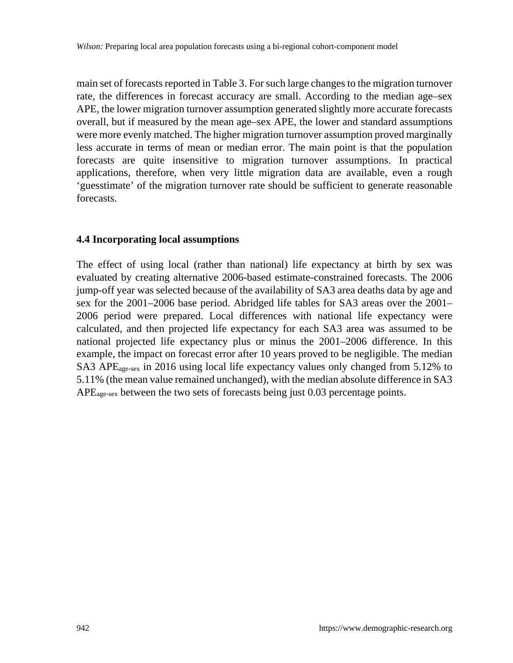main set of forecasts reported in Table 3. For such large changes to the migration turnover rate, the differences in forecast accuracy are small. According to the median age–sex APE, the lower migration turnover assumption generated slightly more accurate forecasts overall, but if measured by the mean age–sex APE, the lower and standard assumptions were more evenly matched. The higher migration turnover assumption proved marginally less accurate in terms of mean or median error. The main point is that the population forecasts are quite insensitive to migration turnover assumptions. In practical applications, therefore, when very little migration data are available, even a rough 'guesstimate' of the migration turnover rate should be sufficient to generate reasonable forecasts.

#### **4.4 Incorporating local assumptions**

The effect of using local (rather than national) life expectancy at birth by sex was evaluated by creating alternative 2006-based estimate-constrained forecasts. The 2006 jump-off year was selected because of the availability of SA3 area deaths data by age and sex for the 2001–2006 base period. Abridged life tables for SA3 areas over the 2001– 2006 period were prepared. Local differences with national life expectancy were calculated, and then projected life expectancy for each SA3 area was assumed to be national projected life expectancy plus or minus the 2001–2006 difference. In this example, the impact on forecast error after 10 years proved to be negligible. The median SA3 APEage-sex in 2016 using local life expectancy values only changed from 5.12% to 5.11% (the mean value remained unchanged), with the median absolute difference in SA3 APEage-sex between the two sets of forecasts being just 0.03 percentage points.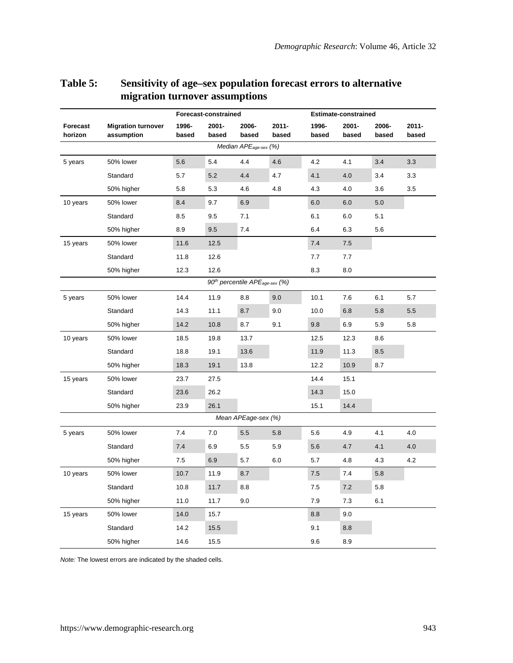|                     |                                         | Forecast-constrained |                |                                                        |                | Estimate-constrained |                |                |                |
|---------------------|-----------------------------------------|----------------------|----------------|--------------------------------------------------------|----------------|----------------------|----------------|----------------|----------------|
| Forecast<br>horizon | <b>Migration turnover</b><br>assumption | 1996-<br>based       | 2001-<br>based | 2006-<br>based                                         | 2011-<br>based | 1996-<br>based       | 2001-<br>based | 2006-<br>based | 2011-<br>based |
|                     |                                         |                      |                | Median APE <sub>age-sex</sub> (%)                      |                |                      |                |                |                |
| 5 years             | 50% lower                               | 5.6                  | 5.4            | 4.4                                                    | 4.6            | 4.2                  | 4.1            | 3.4            | 3.3            |
|                     | Standard                                | 5.7                  | 5.2            | 4.4                                                    | 4.7            | 4.1                  | 4.0            | 3.4            | 3.3            |
|                     | 50% higher                              | 5.8                  | 5.3            | 4.6                                                    | 4.8            | 4.3                  | 4.0            | 3.6            | 3.5            |
| 10 years            | 50% lower                               | 8.4                  | 9.7            | 6.9                                                    |                | 6.0                  | 6.0            | 5.0            |                |
|                     | Standard                                | 8.5                  | 9.5            | 7.1                                                    |                | 6.1                  | 6.0            | 5.1            |                |
|                     | 50% higher                              | 8.9                  | 9.5            | 7.4                                                    |                | 6.4                  | 6.3            | 5.6            |                |
| 15 years            | 50% lower                               | 11.6                 | 12.5           |                                                        |                | 7.4                  | 7.5            |                |                |
|                     | Standard                                | 11.8                 | 12.6           |                                                        |                | 7.7                  | 7.7            |                |                |
|                     | 50% higher                              | 12.3                 | 12.6           |                                                        |                | 8.3                  | 8.0            |                |                |
|                     |                                         |                      |                | 90 <sup>th</sup> percentile APE <sub>age-sex</sub> (%) |                |                      |                |                |                |
| 5 years             | 50% lower                               | 14.4                 | 11.9           | 8.8                                                    | 9.0            | 10.1                 | 7.6            | 6.1            | 5.7            |
|                     | Standard                                | 14.3                 | 11.1           | 8.7                                                    | 9.0            | 10.0                 | 6.8            | 5.8            | 5.5            |
|                     | 50% higher                              | 14.2                 | 10.8           | 8.7                                                    | 9.1            | 9.8                  | 6.9            | 5.9            | 5.8            |
| 10 years            | 50% lower                               | 18.5                 | 19.8           | 13.7                                                   |                | 12.5                 | 12.3           | 8.6            |                |
|                     | Standard                                | 18.8                 | 19.1           | 13.6                                                   |                | 11.9                 | 11.3           | 8.5            |                |
|                     | 50% higher                              | 18.3                 | 19.1           | 13.8                                                   |                | 12.2                 | 10.9           | 8.7            |                |
| 15 years            | 50% lower                               | 23.7                 | 27.5           |                                                        |                | 14.4                 | 15.1           |                |                |
|                     | Standard                                | 23.6                 | 26.2           |                                                        |                | 14.3                 | 15.0           |                |                |
|                     | 50% higher                              | 23.9                 | 26.1           |                                                        |                | 15.1                 | 14.4           |                |                |
|                     |                                         |                      |                | Mean APEage-sex (%)                                    |                |                      |                |                |                |
| 5 years             | 50% lower                               | 7.4                  | 7.0            | 5.5                                                    | 5.8            | 5.6                  | 4.9            | 4.1            | 4.0            |
|                     | Standard                                | 7.4                  | 6.9            | 5.5                                                    | 5.9            | 5.6                  | 4.7            | 4.1            | 4.0            |
|                     | 50% higher                              | 7.5                  | 6.9            | 5.7                                                    | 6.0            | 5.7                  | 4.8            | 4.3            | 4.2            |
| 10 years            | 50% lower                               | 10.7                 | 11.9           | 8.7                                                    |                | 7.5                  | 7.4            | 5.8            |                |
|                     | Standard                                | 10.8                 | 11.7           | 8.8                                                    |                | 7.5                  | 7.2            | 5.8            |                |
|                     | 50% higher                              | 11.0                 | 11.7           | 9.0                                                    |                | 7.9                  | 7.3            | 6.1            |                |
| 15 years            | 50% lower                               | 14.0                 | 15.7           |                                                        |                | 8.8                  | 9.0            |                |                |
|                     | Standard                                | 14.2                 | 15.5           |                                                        |                | 9.1                  | 8.8            |                |                |
|                     | 50% higher                              | 14.6                 | 15.5           |                                                        |                | 9.6                  | 8.9            |                |                |

## **Table 5: Sensitivity of age–sex population forecast errors to alternative migration turnover assumptions**

*Note:* The lowest errors are indicated by the shaded cells.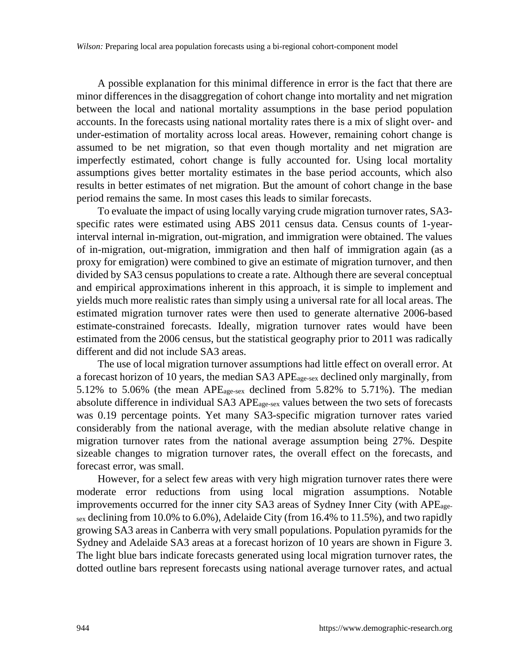A possible explanation for this minimal difference in error is the fact that there are minor differences in the disaggregation of cohort change into mortality and net migration between the local and national mortality assumptions in the base period population accounts. In the forecasts using national mortality rates there is a mix of slight over- and under-estimation of mortality across local areas. However, remaining cohort change is assumed to be net migration, so that even though mortality and net migration are imperfectly estimated, cohort change is fully accounted for. Using local mortality assumptions gives better mortality estimates in the base period accounts, which also results in better estimates of net migration. But the amount of cohort change in the base period remains the same. In most cases this leads to similar forecasts.

To evaluate the impact of using locally varying crude migration turnover rates, SA3 specific rates were estimated using ABS 2011 census data. Census counts of 1-yearinterval internal in-migration, out-migration, and immigration were obtained. The values of in-migration, out-migration, immigration and then half of immigration again (as a proxy for emigration) were combined to give an estimate of migration turnover, and then divided by SA3 census populations to create a rate. Although there are several conceptual and empirical approximations inherent in this approach, it is simple to implement and yields much more realistic rates than simply using a universal rate for all local areas. The estimated migration turnover rates were then used to generate alternative 2006-based estimate-constrained forecasts. Ideally, migration turnover rates would have been estimated from the 2006 census, but the statistical geography prior to 2011 was radically different and did not include SA3 areas.

The use of local migration turnover assumptions had little effect on overall error. At a forecast horizon of 10 years, the median SA3 APEage-sex declined only marginally, from 5.12% to 5.06% (the mean APEage-sex declined from 5.82% to 5.71%). The median absolute difference in individual SA3 AP $E_{\text{age-sex}}$  values between the two sets of forecasts was 0.19 percentage points. Yet many SA3-specific migration turnover rates varied considerably from the national average, with the median absolute relative change in migration turnover rates from the national average assumption being 27%. Despite sizeable changes to migration turnover rates, the overall effect on the forecasts, and forecast error, was small.

However, for a select few areas with very high migration turnover rates there were moderate error reductions from using local migration assumptions. Notable improvements occurred for the inner city SA3 areas of Sydney Inner City (with APEage $s_{\rm ex}$  declining from 10.0% to 6.0%), Adelaide City (from 16.4% to 11.5%), and two rapidly growing SA3 areas in Canberra with very small populations. Population pyramids for the Sydney and Adelaide SA3 areas at a forecast horizon of 10 years are shown in Figure 3. The light blue bars indicate forecasts generated using local migration turnover rates, the dotted outline bars represent forecasts using national average turnover rates, and actual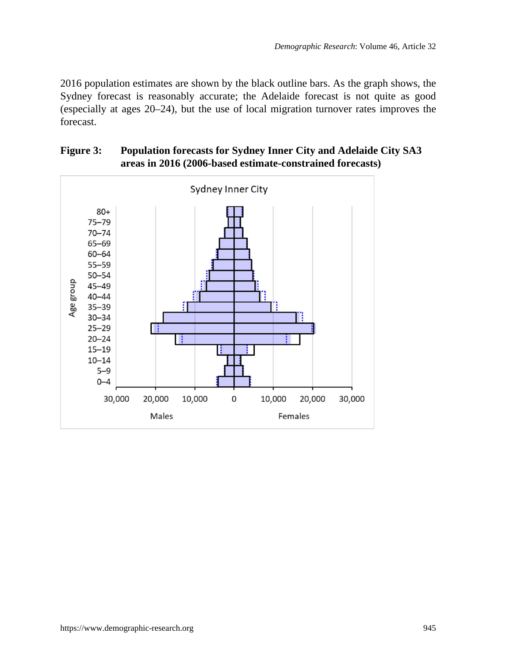2016 population estimates are shown by the black outline bars. As the graph shows, the Sydney forecast is reasonably accurate; the Adelaide forecast is not quite as good (especially at ages 20–24), but the use of local migration turnover rates improves the forecast.



### **Figure 3: Population forecasts for Sydney Inner City and Adelaide City SA3 areas in 2016 (2006-based estimate-constrained forecasts)**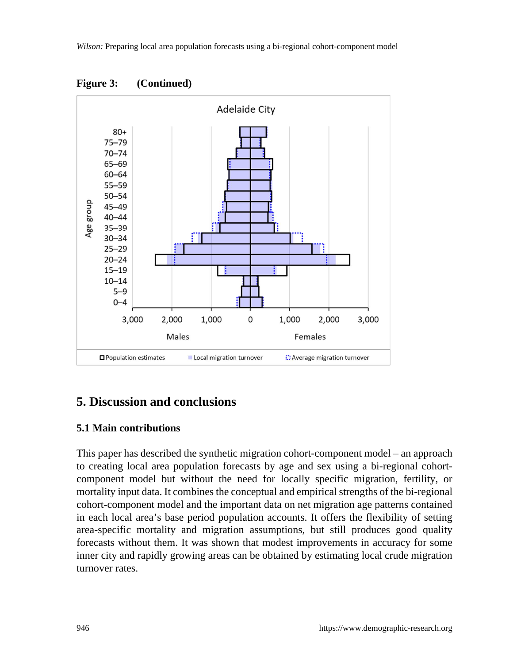

**Figure 3: (Continued)**

# **5. Discussion and conclusions**

#### **5.1 Main contributions**

This paper has described the synthetic migration cohort-component model – an approach to creating local area population forecasts by age and sex using a bi-regional cohortcomponent model but without the need for locally specific migration, fertility, or mortality input data. It combines the conceptual and empirical strengths of the bi-regional cohort-component model and the important data on net migration age patterns contained in each local area's base period population accounts. It offers the flexibility of setting area-specific mortality and migration assumptions, but still produces good quality forecasts without them. It was shown that modest improvements in accuracy for some inner city and rapidly growing areas can be obtained by estimating local crude migration turnover rates.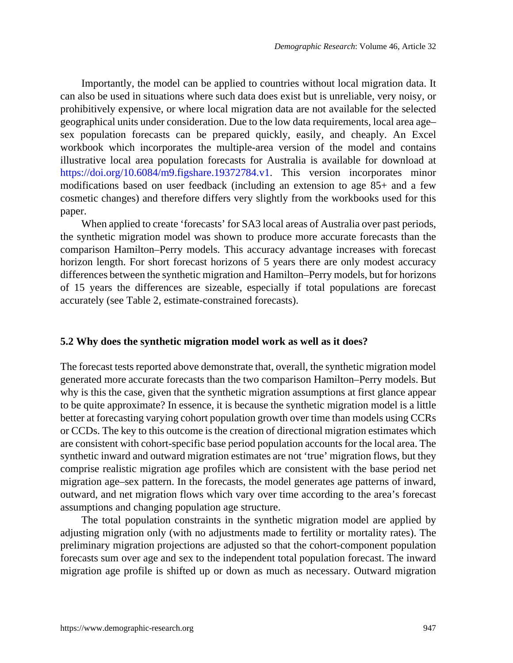Importantly, the model can be applied to countries without local migration data. It can also be used in situations where such data does exist but is unreliable, very noisy, or prohibitively expensive, or where local migration data are not available for the selected geographical units under consideration. Due to the low data requirements, local area age– sex population forecasts can be prepared quickly, easily, and cheaply. An Excel workbook which incorporates the multiple-area version of the model and contains illustrative local area population forecasts for Australia is available for download at [https://doi.org/10.6084/m9.figshare.19372784.v1.](https://doi.org/10.6084/m9.figshare.19372784.v1) This version incorporates minor modifications based on user feedback (including an extension to age 85+ and a few cosmetic changes) and therefore differs very slightly from the workbooks used for this paper.

When applied to create 'forecasts' for SA3 local areas of Australia over past periods, the synthetic migration model was shown to produce more accurate forecasts than the comparison Hamilton–Perry models. This accuracy advantage increases with forecast horizon length. For short forecast horizons of 5 years there are only modest accuracy differences between the synthetic migration and Hamilton–Perry models, but for horizons of 15 years the differences are sizeable, especially if total populations are forecast accurately (see Table 2, estimate-constrained forecasts).

#### **5.2 Why does the synthetic migration model work as well as it does?**

The forecast tests reported above demonstrate that, overall, the synthetic migration model generated more accurate forecasts than the two comparison Hamilton–Perry models. But why is this the case, given that the synthetic migration assumptions at first glance appear to be quite approximate? In essence, it is because the synthetic migration model is a little better at forecasting varying cohort population growth over time than models using CCRs or CCDs. The key to this outcome is the creation of directional migration estimates which are consistent with cohort-specific base period population accounts for the local area. The synthetic inward and outward migration estimates are not 'true' migration flows, but they comprise realistic migration age profiles which are consistent with the base period net migration age–sex pattern. In the forecasts, the model generates age patterns of inward, outward, and net migration flows which vary over time according to the area's forecast assumptions and changing population age structure.

The total population constraints in the synthetic migration model are applied by adjusting migration only (with no adjustments made to fertility or mortality rates). The preliminary migration projections are adjusted so that the cohort-component population forecasts sum over age and sex to the independent total population forecast. The inward migration age profile is shifted up or down as much as necessary. Outward migration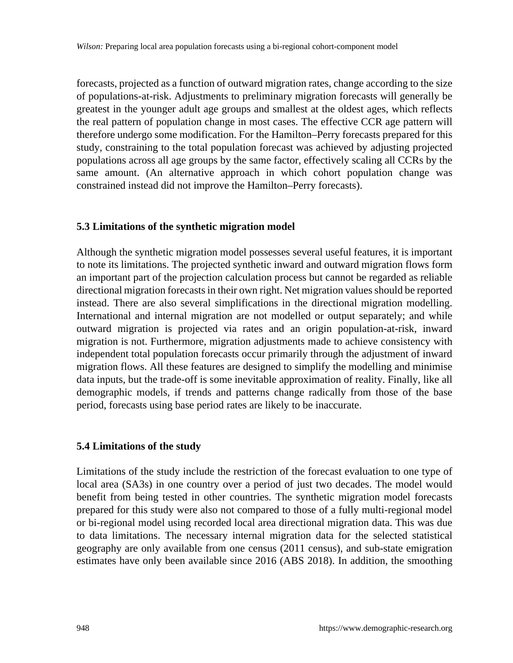forecasts, projected as a function of outward migration rates, change according to the size of populations-at-risk. Adjustments to preliminary migration forecasts will generally be greatest in the younger adult age groups and smallest at the oldest ages, which reflects the real pattern of population change in most cases. The effective CCR age pattern will therefore undergo some modification. For the Hamilton–Perry forecasts prepared for this study, constraining to the total population forecast was achieved by adjusting projected populations across all age groups by the same factor, effectively scaling all CCRs by the same amount. (An alternative approach in which cohort population change was constrained instead did not improve the Hamilton–Perry forecasts).

### **5.3 Limitations of the synthetic migration model**

Although the synthetic migration model possesses several useful features, it is important to note its limitations. The projected synthetic inward and outward migration flows form an important part of the projection calculation process but cannot be regarded as reliable directional migration forecasts in their own right. Net migration values should be reported instead. There are also several simplifications in the directional migration modelling. International and internal migration are not modelled or output separately; and while outward migration is projected via rates and an origin population-at-risk, inward migration is not. Furthermore, migration adjustments made to achieve consistency with independent total population forecasts occur primarily through the adjustment of inward migration flows. All these features are designed to simplify the modelling and minimise data inputs, but the trade-off is some inevitable approximation of reality. Finally, like all demographic models, if trends and patterns change radically from those of the base period, forecasts using base period rates are likely to be inaccurate.

## **5.4 Limitations of the study**

Limitations of the study include the restriction of the forecast evaluation to one type of local area (SA3s) in one country over a period of just two decades. The model would benefit from being tested in other countries. The synthetic migration model forecasts prepared for this study were also not compared to those of a fully multi-regional model or bi-regional model using recorded local area directional migration data. This was due to data limitations. The necessary internal migration data for the selected statistical geography are only available from one census (2011 census), and sub-state emigration estimates have only been available since 2016 (ABS 2018). In addition, the smoothing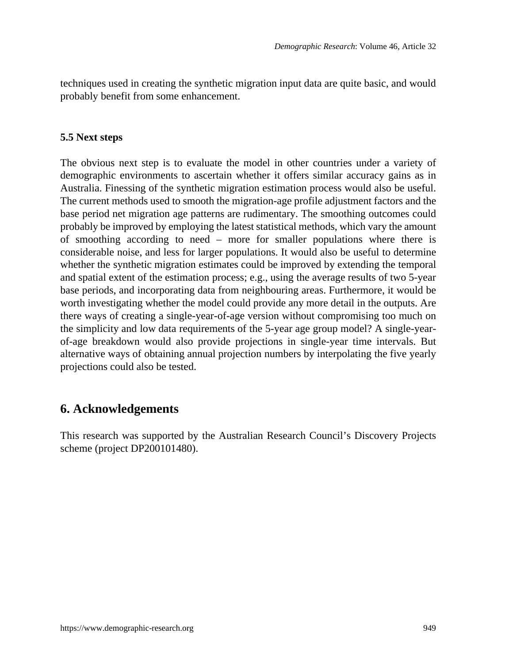techniques used in creating the synthetic migration input data are quite basic, and would probably benefit from some enhancement.

#### **5.5 Next steps**

The obvious next step is to evaluate the model in other countries under a variety of demographic environments to ascertain whether it offers similar accuracy gains as in Australia. Finessing of the synthetic migration estimation process would also be useful. The current methods used to smooth the migration-age profile adjustment factors and the base period net migration age patterns are rudimentary. The smoothing outcomes could probably be improved by employing the latest statistical methods, which vary the amount of smoothing according to need – more for smaller populations where there is considerable noise, and less for larger populations. It would also be useful to determine whether the synthetic migration estimates could be improved by extending the temporal and spatial extent of the estimation process; e.g., using the average results of two 5-year base periods, and incorporating data from neighbouring areas. Furthermore, it would be worth investigating whether the model could provide any more detail in the outputs. Are there ways of creating a single-year-of-age version without compromising too much on the simplicity and low data requirements of the 5-year age group model? A single-yearof-age breakdown would also provide projections in single-year time intervals. But alternative ways of obtaining annual projection numbers by interpolating the five yearly projections could also be tested.

## **6. Acknowledgements**

This research was supported by the Australian Research Council's Discovery Projects scheme (project DP200101480).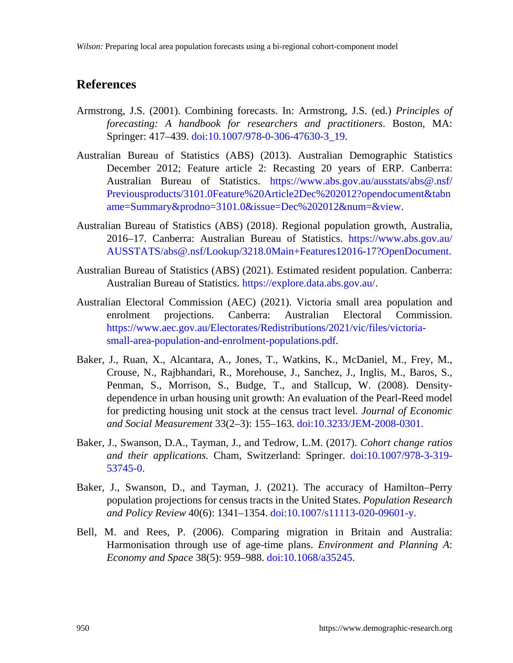## **References**

- Armstrong, J.S. (2001). Combining forecasts. In: Armstrong, J.S. (ed.) *Principles of forecasting: A handbook for researchers and practitioners*. Boston, MA: Springer: 417–439. [doi:10.1007/978-0-306-47630-3\\_19](https://doi.org/10.1007/978-0-306-47630-3_19).
- Australian Bureau of Statistics (ABS) (2013). Australian Demographic Statistics December 2012; Feature article 2: Recasting 20 years of ERP. Canberra: Australian Bureau of Statistics. [https://www.abs.gov.au/ausstats/abs@.nsf/](https://www.abs.gov.au/ausstats/abs@.nsf/Previousproducts/3101.0Feature%20Article2Dec%202012?opendocument&tabname=Summary&prodno=3101.0&issue=Dec%202012&num=&view) [Previousproducts/3101.0Feature%20Article2Dec%202012?opendocument&tabn](https://www.abs.gov.au/ausstats/abs@.nsf/Previousproducts/3101.0Feature%20Article2Dec%202012?opendocument&tabname=Summary&prodno=3101.0&issue=Dec%202012&num=&view) [ame=Summary&prodno=3101.0&issue=Dec%202012&num=&view](https://www.abs.gov.au/ausstats/abs@.nsf/Previousproducts/3101.0Feature%20Article2Dec%202012?opendocument&tabname=Summary&prodno=3101.0&issue=Dec%202012&num=&view).
- Australian Bureau of Statistics (ABS) (2018). Regional population growth, Australia, 2016–17. Canberra: Australian Bureau of Statistics. [https://www.abs.gov.au/](https://www.abs.gov.au/AUSSTATS/abs@.nsf/Lookup/3218.0Main+Features12016-17?OpenDocument) [AUSSTATS/abs@.nsf/Lookup/3218.0Main+Features12016-17?OpenDocument.](https://www.abs.gov.au/AUSSTATS/abs@.nsf/Lookup/3218.0Main+Features12016-17?OpenDocument)
- Australian Bureau of Statistics (ABS) (2021). Estimated resident population. Canberra: Australian Bureau of Statistics. <https://explore.data.abs.gov.au/>.
- Australian Electoral Commission (AEC) (2021). Victoria small area population and enrolment projections. Canberra: Australian Electoral Commission. [https://www.aec.gov.au/Electorates/Redistributions/2021/vic/files/victoria](https://www.aec.gov.au/Electorates/Redistributions/2021/vic/files/victoria-small-area-population-and-enrolment-populations.pdf)[small-area-population-and-enrolment-populations.pdf.](https://www.aec.gov.au/Electorates/Redistributions/2021/vic/files/victoria-small-area-population-and-enrolment-populations.pdf)
- Baker, J., Ruan, X., Alcantara, A., Jones, T., Watkins, K., McDaniel, M., Frey, M., Crouse, N., Rajbhandari, R., Morehouse, J., Sanchez, J., Inglis, M., Baros, S., Penman, S., Morrison, S., Budge, T., and Stallcup, W. (2008). Densitydependence in urban housing unit growth: An evaluation of the Pearl-Reed model for predicting housing unit stock at the census tract level. *Journal of Economic and Social Measurement* 33(2–3): 155–163. [doi:10.3233/JEM-2008-0301](https://doi.org/10.3233/JEM-2008-0301).
- Baker, J., Swanson, D.A., Tayman, J., and Tedrow, L.M. (2017). *Cohort change ratios and their applications.* Cham, Switzerland: Springer. [doi:10.1007/978-3-319-](https://doi.org/10.1007/978-3-319-53745-0) [53745-0.](https://doi.org/10.1007/978-3-319-53745-0)
- Baker, J., Swanson, D., and Tayman, J. (2021). The accuracy of Hamilton–Perry population projections for census tracts in the United States. *Population Research and Policy Review* 40(6): 1341–1354. [doi:10.1007/s11113-020-09601-y.](https://doi.org/10.1007/s11113-020-09601-y)
- Bell, M. and Rees, P. (2006). Comparing migration in Britain and Australia: Harmonisation through use of age-time plans. *Environment and Planning A*: *Economy and Space* 38(5): 959–988. [doi:10.1068/a35245.](https://doi.org/10.1068/a35245)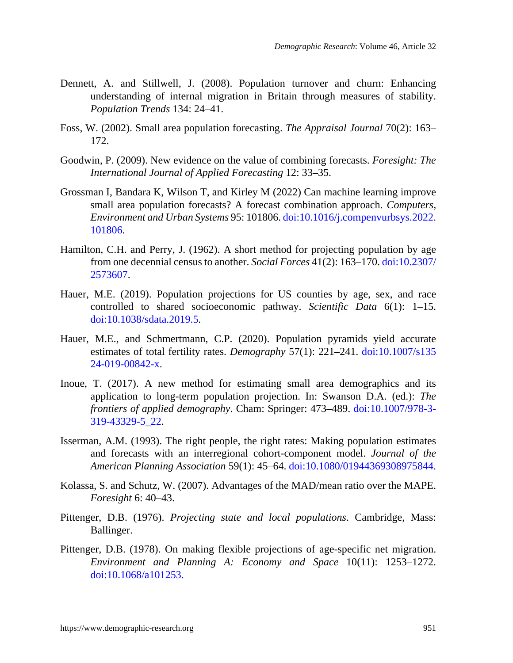- Dennett, A. and Stillwell, J. (2008). Population turnover and churn: Enhancing understanding of internal migration in Britain through measures of stability. *Population Trends* 134: 24–41.
- Foss, W. (2002). Small area population forecasting. *The Appraisal Journal* 70(2): 163– 172.
- Goodwin, P. (2009). New evidence on the value of combining forecasts. *Foresight: The International Journal of Applied Forecasting* 12: 33–35.
- Grossman I, Bandara K, Wilson T, and Kirley M (2022) Can machine learning improve small area population forecasts? A forecast combination approach. *Computers, Environment and Urban Systems* 95: 101806. [doi:10.1016/j.compenvurbsys.2022.](https://doi.org/10.1016/j.compenvurbsys.2022.101806) [101806.](https://doi.org/10.1016/j.compenvurbsys.2022.101806)
- Hamilton, C.H. and Perry, J. (1962). A short method for projecting population by age from one decennial census to another. *Social Forces* 41(2): 163–170. [doi:10.2307/](https://doi.org/10.2307/2573607) [2573607](https://doi.org/10.2307/2573607).
- Hauer, M.E. (2019). Population projections for US counties by age, sex, and race controlled to shared socioeconomic pathway. *Scientific Data* 6(1): 1–15. [doi:10.1038/sdata.2019.5.](https://doi.org/10.1038/sdata.2019.5)
- Hauer, M.E., and Schmertmann, C.P. (2020). Population pyramids yield accurate estimates of total fertility rates. *Demography* 57(1): 221–241. [doi:10.1007/s135](https://doi.org/10.1007/s13524-019-00842-x) [24-019-00842-x](https://doi.org/10.1007/s13524-019-00842-x).
- Inoue, T. (2017). A new method for estimating small area demographics and its application to long-term population projection. In: Swanson D.A. (ed.): *The frontiers of applied demography*. Cham: Springer: 473–489. [doi:10.1007/978-3-](https://doi.org/10.1007/978-3-319-43329-5_22) [319-43329-5\\_22.](https://doi.org/10.1007/978-3-319-43329-5_22)
- Isserman, A.M. (1993). The right people, the right rates: Making population estimates and forecasts with an interregional cohort-component model. *Journal of the American Planning Association* 59(1): 45–64. [doi:10.1080/01944369308975844.](https://doi.org/10.1080/01944369308975844)
- Kolassa, S. and Schutz, W. (2007). Advantages of the MAD/mean ratio over the MAPE. *Foresight* 6: 40–43.
- Pittenger, D.B. (1976). *Projecting state and local populations*. Cambridge, Mass: Ballinger.
- Pittenger, D.B. (1978). On making flexible projections of age-specific net migration. *Environment and Planning A: Economy and Space* 10(11): 1253–1272. [doi:10.1068/a101253](https://doi.org/10.1068/a101253).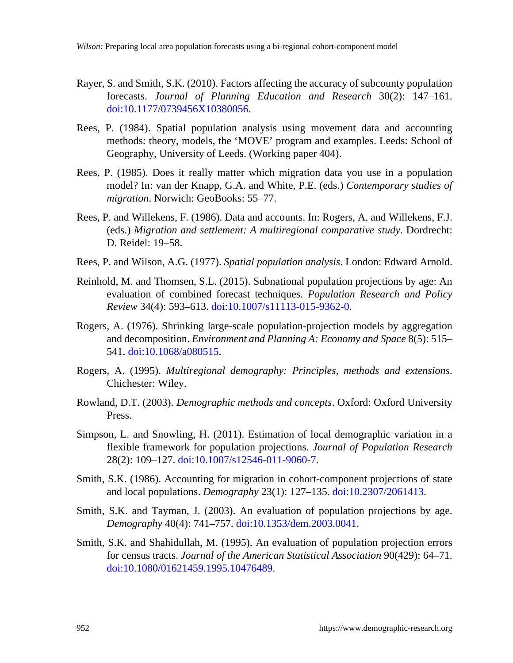- Rayer, S. and Smith, S.K. (2010). Factors affecting the accuracy of subcounty population forecasts. *Journal of Planning Education and Research* 30(2): 147–161. [doi:10.1177/0739456X10380056](https://doi.org/10.1177/0739456X10380056).
- Rees, P. (1984). Spatial population analysis using movement data and accounting methods: theory, models, the 'MOVE' program and examples. Leeds: School of Geography, University of Leeds. (Working paper 404).
- Rees, P. (1985). Does it really matter which migration data you use in a population model? In: van der Knapp, G.A. and White, P.E. (eds.) *Contemporary studies of migration*. Norwich: GeoBooks: 55–77.
- Rees, P. and Willekens, F. (1986). Data and accounts. In: Rogers, A. and Willekens, F.J. (eds.) *Migration and settlement: A multiregional comparative study*. Dordrecht: D. Reidel: 19–58.
- Rees, P. and Wilson, A.G. (1977). *Spatial population analysis*. London: Edward Arnold.
- Reinhold, M. and Thomsen, S.L. (2015). Subnational population projections by age: An evaluation of combined forecast techniques. *Population Research and Policy Review* 34(4): 593–613. [doi:10.1007/s11113-015-9362-0](https://doi.org/10.1007/s11113-015-9362-0).
- Rogers, A. (1976). Shrinking large-scale population-projection models by aggregation and decomposition. *Environment and Planning A: Economy and Space* 8(5): 515– 541. [doi:10.1068/a080515.](https://doi.org/10.1068/a080515)
- Rogers, A. (1995). *Multiregional demography: Principles, methods and extensions*. Chichester: Wiley.
- Rowland, D.T. (2003). *Demographic methods and concepts*. Oxford: Oxford University Press.
- Simpson, L. and Snowling, H. (2011). Estimation of local demographic variation in a flexible framework for population projections. *Journal of Population Research* 28(2): 109–127. [doi:10.1007/s12546-011-9060-7](https://doi.org/10.1007/s12546-011-9060-7).
- Smith, S.K. (1986). Accounting for migration in cohort-component projections of state and local populations. *Demography* 23(1): 127–135. [doi:10.2307/2061413](https://doi.org/10.2307/2061413).
- Smith, S.K. and Tayman, J. (2003). An evaluation of population projections by age. *Demography* 40(4): 741–757. [doi:10.1353/dem.2003.0041](https://doi.org/10.1353/dem.2003.0041).
- Smith, S.K. and Shahidullah, M. (1995). An evaluation of population projection errors for census tracts. *Journal of the American Statistical Association* 90(429): 64–71. [doi:10.1080/01621459.1995.10476489](https://doi.org/10.1080/01621459.1995.10476489).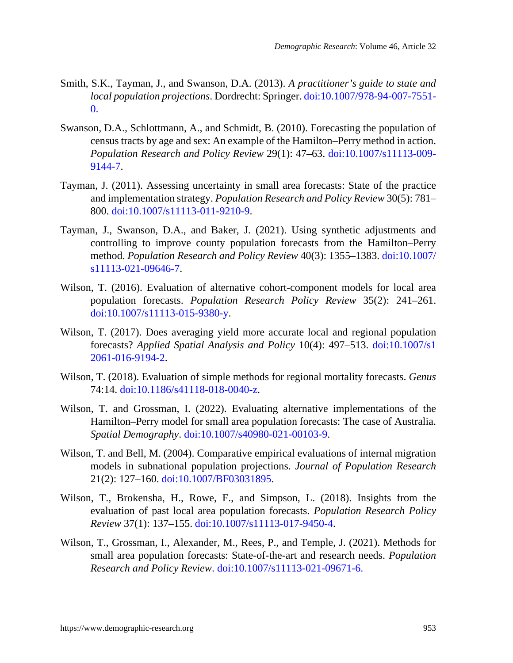- Smith, S.K., Tayman, J., and Swanson, D.A. (2013). *A practitioner's guide to state and local population projections*. Dordrecht: Springer. [doi:10.1007/978-94-007-7551-](https://doi.org/10.1007/978-94-007-7551-0) [0](https://doi.org/10.1007/978-94-007-7551-0).
- Swanson, D.A., Schlottmann, A., and Schmidt, B. (2010). Forecasting the population of census tracts by age and sex: An example of the Hamilton–Perry method in action. *Population Research and Policy Review* 29(1): 47–63. [doi:10.1007/s11113-009-](https://doi.org/10.1007/s11113-009-9144-7) [9144-7.](https://doi.org/10.1007/s11113-009-9144-7)
- Tayman, J. (2011). Assessing uncertainty in small area forecasts: State of the practice and implementation strategy. *Population Research and Policy Review* 30(5): 781– 800. [doi:10.1007/s11113-011-9210-9.](https://doi.org/10.1007/s11113-011-9210-9)
- Tayman, J., Swanson, D.A., and Baker, J. (2021). Using synthetic adjustments and controlling to improve county population forecasts from the Hamilton–Perry method. *Population Research and Policy Review* 40(3): 1355–1383. [doi:10.1007/](https://doi.org/10.1007/s11113-021-09646-7) [s11113-021-09646-7.](https://doi.org/10.1007/s11113-021-09646-7)
- Wilson, T. (2016). Evaluation of alternative cohort-component models for local area population forecasts. *Population Research Policy Review* 35(2): 241–261. [doi:10.1007/s11113-015-9380-y.](https://doi.org/10.1007/s11113-015-9380-y)
- Wilson, T. (2017). Does averaging yield more accurate local and regional population forecasts? *Applied Spatial Analysis and Policy* 10(4): 497–513. [doi:10.1007/s1](https://doi.org/10.1007/s12061-016-9194-2) [2061-016-9194-2](https://doi.org/10.1007/s12061-016-9194-2).
- Wilson, T. (2018). Evaluation of simple methods for regional mortality forecasts. *Genus* 74:14. [doi:10.1186/s41118-018-0040-z.](https://doi.org/10.1186/s41118-018-0040-z)
- Wilson, T. and Grossman, I. (2022). Evaluating alternative implementations of the Hamilton–Perry model for small area population forecasts: The case of Australia. *Spatial Demography*. [doi:10.1007/s40980-021-00103-9.](https://doi.org/10.1007/s40980-021-00103-9)
- Wilson, T. and Bell, M. (2004). Comparative empirical evaluations of internal migration models in subnational population projections. *Journal of Population Research* 21(2): 127–160. [doi:10.1007/BF03031895](https://doi.org/10.1007/BF03031895).
- Wilson, T., Brokensha, H., Rowe, F., and Simpson, L. (2018). Insights from the evaluation of past local area population forecasts. *Population Research Policy Review* 37(1): 137–155. [doi:10.1007/s11113-017-9450-4.](https://doi.org/10.1007/s11113-017-9450-4)
- Wilson, T., Grossman, I., Alexander, M., Rees, P., and Temple, J. (2021). Methods for small area population forecasts: State-of-the-art and research needs. *Population Research and Policy Review*. [doi:10.1007/s11113-021-09671-6.](https://doi.org/10.1007/s11113-021-09671-6)